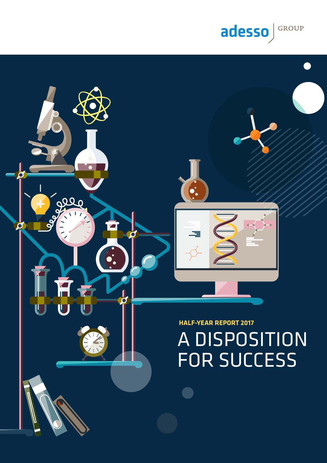# A DISPOSITION FOR SUCCESS

**HALF-YEAR REPORT 2017**

 $\frac{1}{8}$ 

百五

T

 $\frac{1}{\delta}$ 

 $\bullet$ 

Ō

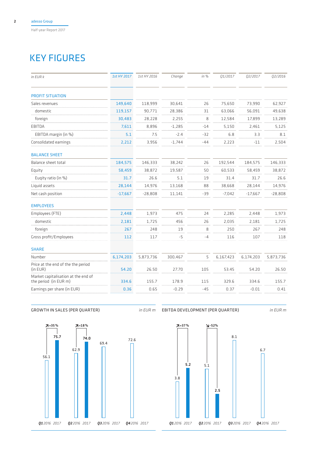# KEY FIGURES

| in EUR k                                                     | 1st HY 2017 | 1st HY 2016 | Change   | in %  | 01/2017   | 02/2017   | 02/2016   |
|--------------------------------------------------------------|-------------|-------------|----------|-------|-----------|-----------|-----------|
| <b>PROFIT SITUATION</b>                                      |             |             |          |       |           |           |           |
| Sales revenues                                               | 149,640     | 118,999     | 30,641   | 26    | 75,650    | 73,990    | 62,927    |
| domestic                                                     | 119,157     | 90,771      | 28,386   | 31    | 63,066    | 56,091    | 49,638    |
| foreign                                                      | 30,483      | 28,228      | 2,255    | 8     | 12,584    | 17,899    | 13,289    |
| EBITDA                                                       | 7,611       | 8,896       | $-1,285$ | $-14$ | 5,150     | 2,461     | 5,125     |
| EBITDA margin (in %)                                         | 5.1         | 7.5         | $-2.4$   | $-32$ | 6.8       | 3.3       | 8.1       |
| Consolidated earnings                                        | 2,212       | 3,956       | $-1,744$ | $-44$ | 2,223     | $-11$     | 2,504     |
| <b>BALANCE SHEET</b>                                         |             |             |          |       |           |           |           |
| Balance sheet total                                          | 184,575     | 146,333     | 38,242   | 26    | 192,544   | 184,575   | 146,333   |
| Equity                                                       | 58,459      | 38,872      | 19,587   | 50    | 60,533    | 58,459    | 38,872    |
| Eugity ratio (in %)                                          | 31.7        | 26.6        | 5.1      | 19    | 31.4      | 31.7      | 26.6      |
| Liquid assets                                                | 28,144      | 14,976      | 13,168   | 88    | 38,668    | 28,144    | 14,976    |
| Net cash position                                            | $-17,667$   | $-28,808$   | 11,141   | $-39$ | $-7,042$  | $-17,667$ | $-28,808$ |
| <b>EMPLOYEES</b>                                             |             |             |          |       |           |           |           |
| Employees (FTE)                                              | 2,448       | 1,973       | 475      | 24    | 2,285     | 2,448     | 1,973     |
| domestic                                                     | 2,181       | 1,725       | 456      | 26    | 2,035     | 2,181     | 1,725     |
| foreign                                                      | 267         | 248         | 19       | 8     | 250       | 267       | 248       |
| Gross profit/Employees                                       | 112         | 117         | $-5$     | $-4$  | 116       | 107       | 118       |
| <b>SHARE</b>                                                 |             |             |          |       |           |           |           |
| Number                                                       | 6,174,203   | 5,873,736   | 300.467  | 5     | 6,167,423 | 6,174,203 | 5,873,736 |
| Price at the end of the the period<br>(in EUR)               | 54.20       | 26.50       | 27.70    | 105   | 53.45     | 54.20     | 26.50     |
| Market capitalisation at the end of<br>the period (in EUR m) | 334.6       | 155.7       | 178.9    | 115   | 329.6     | 334.6     | 155.7     |
| Earnings per share (in EUR)                                  | 0.36        | 0.65        | $-0.29$  | $-45$ | 0.37      | $-0.01$   | 0.41      |
|                                                              |             |             |          |       |           |           |           |

Growth in Sales (Per Quarter) *in EUR m* EBITDA Development (Per Quarter) *in EUR m*



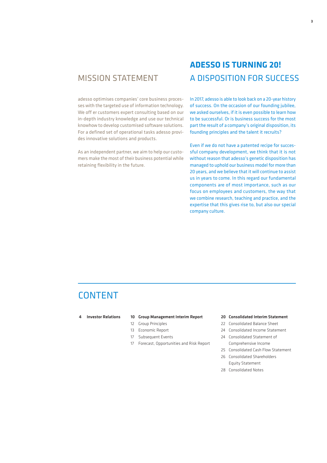# Mission Statement

adesso optimises companies' core business processes with the targeted use of information technology. We off er customers expert consulting based on our in-depth industry knowledge and use our technical knowhow to develop customised software solutions. For a defined set of operational tasks adesso provides innovative solutions and products.

As an independent partner, we aim to help our customers make the most of their business potential while retaining flexibility in the future.

# **adesso is turning 20!** A disposition for success

In 2017, adesso is able to look back on a 20-year history of success. On the occasion of our founding jubilee, we asked ourselves, if it is even possible to learn how to be successful. Or is business success for the most part the result of a company's original disposition, its founding principles and the talent it recruits?

Even if we do not have a patented recipe for successful company development, we think that it is not without reason that adesso's genetic disposition has managed to uphold our business model for more than 20 years, and we believe that it will continue to assist us in years to come. In this regard our fundamental components are of most importance, such as our focus on employees and customers, the way that we combine research, teaching and practice, and the expertise that this gives rise to, but also our special company culture.

# **CONTENT**

## 4 Investor Relations 10 Group Management Interim Report

- 12 Group Principles
- 13 Economic Report
- 17 Subsequent Events
- 17 Forecast, Opportunities and Risk Report

## 20 Consolidated Interim Statement

- 22 Consolidated Balance Sheet
- 24 Consolidated Income Statement
- 24 Consolidated Statement of Comprehensive Income
- 25 Consolidated Cash Flow Statement
- 26 Consolidated Shareholders Equity Statement
- 28 Consolidated Notes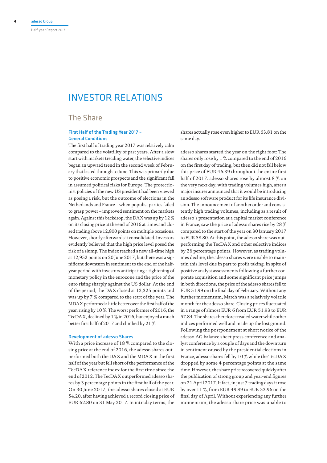# Investor Relations

# The Share

# First Half of the Trading Year 2017 – General Conditions

The first half of trading year 2017 was relatively calm compared to the volatility of past years. After a slow start with markets treading water, the selective indices began an upward trend in the second week of February that lasted through to June. This was primarily due to positive economic prospects and the significant fall in assumed political risks for Europe. The protectionist policies of the new US president had been viewed as posing a risk, but the outcome of elections in the Netherlands and France – when populist parties failed to grasp power – improved sentiment on the markets again. Against this backdrop, the DAX was up by 12 % on its closing price at the end of 2016 at times and closed trading above 12,800 points on multiple occasions. However, shortly afterwards it consolidated. Investors evidently believed that the high price level posed the risk of a slump. The index reached a new all-time high at 12,952 points on 20 June 2017, but there was a significant downturn in sentiment to the end of the halfyear period with investors anticipating a tightening of monetary policy in the eurozone and the price of the euro rising sharply against the US dollar. At the end of the period, the DAX closed at 12,325 points and was up by 7 % compared to the start of the year. The MDAX performed a little better over the first half of the year, rising by 10 %. The worst performer of 2016, the TecDAX, declined by 1 % in 2016, but enjoyed a much better first half of 2017 and climbed by 21 %.

## Development of adesso Shares

With a price increase of 18 % compared to the closing price at the end of 2016, the adesso shares outperformed both the DAX and the MDAX in the first half of the year but fell short of the performance of the TecDAX reference index for the first time since the end of 2012. The TecDAX outperformed adesso shares by 3 percentage points in the first half of the year. On 30 June 2017, the adesso shares closed at EUR 54.20, after having achieved a record closing price of EUR 62.80 on 31 May 2017. In intraday terms, the

shares actually rose even higher to EUR 63.81 on the same day.

adesso shares started the year on the right foot: The shares only rose by 1 % compared to the end of 2016 on the first day of trading, but then did not fall below this price of EUR 46.39 throughout the entire first half of 2017. adesso shares rose by almost 8 % on the very next day, with trading volumes high, after a major insurer announced that it would be introducing an adesso software product for its life insurance division. The announcement of another order and consistently high trading volumes, including as a result of adesso's presentation at a capital market conference in France, saw the price of adesso shares rise by 28 % compared to the start of the year on 30 January 2017 to EUR 58.80. At this point, the adesso share was outperforming the TecDAX and other selective indices by 26 percentage points. However, as trading volumes decline, the adesso shares were unable to maintain this level due in part to profit taking. In spite of positive analyst assessments following a further corporate acquisition and some significant price jumps in both directions, the price of the adesso shares fell to EUR 51.99 on the final day of February. Without any further momentum, March was a relatively volatile month for the adesso share. Closing prices fluctuated in a range of almost EUR 6 from EUR 51.93 to EUR 57.84. The shares therefore treaded water while other indices performed well and made up the lost ground. Following the postponement at short notice of the adesso AG balance sheet press conference and analyst conference by a couple of days and the downturn in sentiment caused by the presidential elections in France, adesso shares fell by 10 % while the TecDAX dropped by some 4 percentage points at the same time. However, the share price recovered quickly after the publication of strong group and year-end figures on 21 April 2017. It fact, in just 7 trading days it rose by over 11 %, from EUR 49.89 to EUR 53.96 on the final day of April. Without experiencing any further momentum, the adesso share price was unable to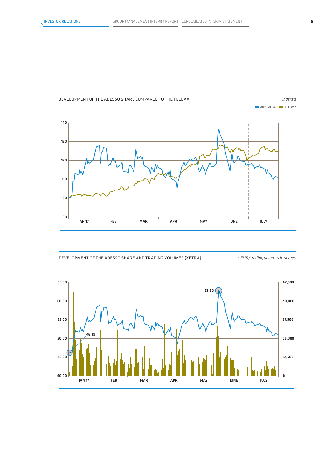

# Development of the adesso Share compared to the TEcDax

Development of the adesso Share and Trading volumes (XETRA) *in EUR/trading volumes in shares*

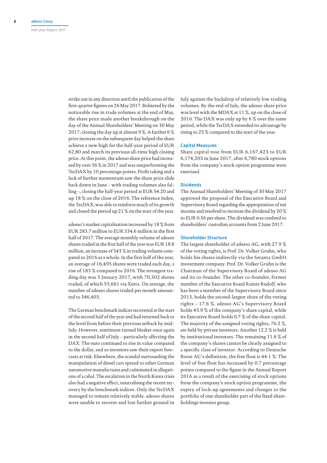strike out in any direction until the publication of the first-quarter figures on 26 May 2017. Bolstered by the noticeable rise in trade volumes at the end of May, the share price made another breakthrough on the day of the Annual Shareholders' Meeting on 30 May 2017, closing the day up at almost 9 %. A further 6 % price increase on the subsequent day helped the share achieve a new high for the half-year period of EUR 62.80 and match its previous all-time high closing price. At this point, the adesso share price had increased by over 36 % in 2017 and was outperforming the TecDAX by 10 percentage points. Profit taking and a lack of further momentum saw the share price slide back down in June – with trading volumes also falling –, closing the half-year period at EUR 54.20 and up 18 % on the close of 2016. The reference index, the TecDAX, was able to reinforce much of its growth and closed the period up 21 % on the start of the year.

adesso's market capitalisation increased by 18 % from EUR 283.7 million to EUR 334.6 million in the first half of 2017. The average monthly volume of adesso shares traded in the first half of the year was EUR 18.8 million, an increase of 343 % in trading volume compared to 2016 as a whole. In the first half of the year, an average of 16,495 shares were traded each day, a rise of 183 % compared to 2016. The strongest trading day was 3 January 2017, with 70,302 shares traded, of which 55,661 via Xetra. On average, the number of adesso shares traded per month amounted to 346,403.

The German benchmark indices recovered at the start of the second half of the year and had returned back to the level from before their previous setback by mid-July. However, sentiment turned bleaker once again in the second half of July – particularly affecting the DAX. The euro continued to rise in value compared to the dollar, and so investors saw their export forecasts at risk. Elsewhere, the scandal surrounding the manipulation of diesel cars spread to other German automotive manufactures and culminated in allegations of a cabal. The escalation in the North Korea crisis also had a negative effect, neutralising the recent recovery by the benchmark indices. Only the TecDAX managed to remain relatively stable. adesso shares were unable to recover and lost further ground in

July against the backdrop of relatively low trading volumes. By the end of July, the adesso share price was level with the MDAX at 11 %, up on the close of 2016. The DAX was only up by 6 % over the same period, while the TecDAX extended its advantage by rising to 25 % compared to the start of the year.

## Capital Measures

Share capital rose from EUR 6,167,423 to EUR 6,174,203 in June 2017, after 6,780 stock options from the company's stock option programme were exercised.

## **Dividends**

The Annual Shareholders' Meeting of 30 May 2017 approved the proposal of the Executive Board and Supervisory Board regarding the appropriation of net income and resolved to increase the dividend by 20 % to EUR 0.36 per share. The dividend was credited to shareholders' custodian accounts from 2 June 2017.

## Shareholder Structure

The largest shareholder of adesso AG, with 27.9 % of the voting rights, is Prof. Dr. Volker Gruhn, who holds his shares indirectly via the Setanta GmbH investment company. Prof. Dr. Volker Gruhn is the Chairman of the Supervisory Board of adesso AG and its co-founder. The other co-founder, former member of the Executive Board Rainer Rudolf, who has been a member of the Supervisory Board since 2013, holds the second-largest share of the voting rights – 17.6 %. adesso AG's Supervisory Board holds 45.9 % of the company's share capital, while its Executive Board holds 0.7 % of the share capital. The majority of the assigned voting rights, 76.2 %, are held by private investors. Another 12.2 % is held by institutional investors. The remaining 11.6 % of the company's shares cannot be clearly assigned to a specific class of investor. According to Deutsche Borse AG's definition, the free float is 44.1 %. The level of free float has increased by 0.7 percentage points compared to the figure in the Annual Report 2016 as a result of the exercising of stock options from the company's stock option programme, the expiry of lock-up agreements and changes to the portfolio of one shareholder part of the fixed shareholdings investor group.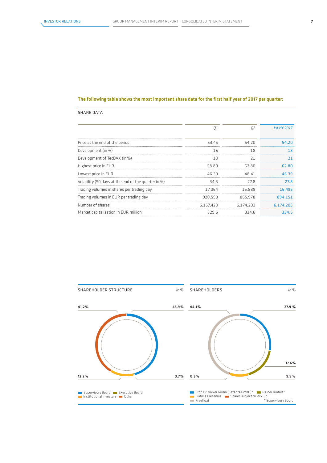# The following table shows the most important share data for the first half year of 2017 per quarter:

# SHARE DATA

|                                                     | 01        | 02        | 1st HY 2017 |
|-----------------------------------------------------|-----------|-----------|-------------|
| Price at the end of the period                      | 53.45     | 54.20     | 54.20       |
| Development (in %)                                  | 16        | 18        | 18          |
| Development of TecDAX (in%)                         | 13        | 21        | 21          |
| Highest price in EUR                                | 58.80     | 62.80     | 62.80       |
| Lowest price in EUR                                 | 46.39     | 48.41     | 46.39       |
| Volatility (90 days at the end of the quarter in %) | 34.3      | 27.8      | 27.8        |
| Trading volumes in shares per trading day           | 17.064    | 15.889    | 16,495      |
| Trading volumes in EUR per trading day              | 920.590   | 865.978   | 894.151     |
| Number of shares                                    | 6.167.423 | 6.174.203 | 6.174.203   |
| Market capitalisation in EUR million                | 329.6     | 334.6     | 334.6       |

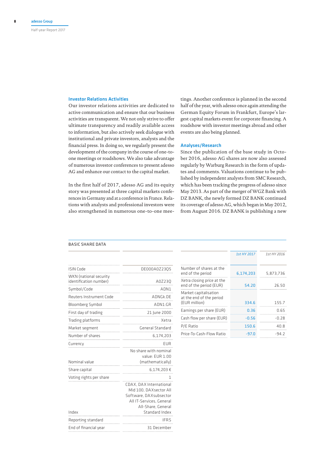## Investor Relations Activities

Our investor relations activities are dedicated to active communication and ensure that our business activities are transparent. We not only strive to offer ultimate transparency and readily available access to information, but also actively seek dialogue with institutional and private investors, analysts and the financial press. In doing so, we regularly present the development of the company in the course of one-toone meetings or roadshows. We also take advantage of numerous investor conferences to present adesso AG and enhance our contact to the capital market.

In the first half of 2017, adesso AG and its equity story was presented at three capital markets conferences in Germany and at a conference in France. Relations with analysts and professional investors were also strengthened in numerous one-to-one mee-

tings. Another conference is planned in the second half of the year, with adesso once again attending the German Equity Forum in Frankfurt, Europe's largest capital markets event for corporate financing. A roadshow with investor meetings abroad and other events are also being planned.

## Analyses/Research

Since the publication of the base study in October 2016, adesso AG shares are now also assessed regularly by Warburg Research in the form of updates and comments. Valuations continue to be published by independent analysts from SMC Research, which has been tracking the progress of adesso since May 2013. As part of the merger of WGZ Bank with DZ BANK, the newly formed DZ BANK continued its coverage of adesso AG, which began in May 2012, from August 2016. DZ BANK is publishing a new

## Basic Share Data

| <b>ISIN Code</b><br>DE000A0Z2305<br>WKN (national security<br>identification number)<br>A0Z230<br>Symbol/Code<br>ADN1<br>Reuters Instrument Code<br>ADNGk.DE<br>Bloomberg Symbol<br>ADN1:GR<br>First day of trading<br>21 June 2000<br>Trading platforms<br>Xetra<br>General Standard<br>Market segment<br>Number of shares<br>6,174,203<br>EUR<br>Currency<br>No share with nominal<br>value: EUR 1.00<br>Nominal value<br>(mathematically)<br>Share capital<br>6,174,203€<br>Voting rights per share<br>CDAX, DAX International<br>Mid 100, DAXsector All<br>Software, DAX subsector<br>All IT-Services, General<br>All-Share, General<br>Standard Index<br>Index<br>Reporting standard<br>ifrs<br>End of financial year<br>31 December |  |
|-------------------------------------------------------------------------------------------------------------------------------------------------------------------------------------------------------------------------------------------------------------------------------------------------------------------------------------------------------------------------------------------------------------------------------------------------------------------------------------------------------------------------------------------------------------------------------------------------------------------------------------------------------------------------------------------------------------------------------------------|--|
|                                                                                                                                                                                                                                                                                                                                                                                                                                                                                                                                                                                                                                                                                                                                           |  |
|                                                                                                                                                                                                                                                                                                                                                                                                                                                                                                                                                                                                                                                                                                                                           |  |
|                                                                                                                                                                                                                                                                                                                                                                                                                                                                                                                                                                                                                                                                                                                                           |  |
|                                                                                                                                                                                                                                                                                                                                                                                                                                                                                                                                                                                                                                                                                                                                           |  |
|                                                                                                                                                                                                                                                                                                                                                                                                                                                                                                                                                                                                                                                                                                                                           |  |
|                                                                                                                                                                                                                                                                                                                                                                                                                                                                                                                                                                                                                                                                                                                                           |  |
|                                                                                                                                                                                                                                                                                                                                                                                                                                                                                                                                                                                                                                                                                                                                           |  |
|                                                                                                                                                                                                                                                                                                                                                                                                                                                                                                                                                                                                                                                                                                                                           |  |
|                                                                                                                                                                                                                                                                                                                                                                                                                                                                                                                                                                                                                                                                                                                                           |  |
|                                                                                                                                                                                                                                                                                                                                                                                                                                                                                                                                                                                                                                                                                                                                           |  |
|                                                                                                                                                                                                                                                                                                                                                                                                                                                                                                                                                                                                                                                                                                                                           |  |
|                                                                                                                                                                                                                                                                                                                                                                                                                                                                                                                                                                                                                                                                                                                                           |  |
|                                                                                                                                                                                                                                                                                                                                                                                                                                                                                                                                                                                                                                                                                                                                           |  |
|                                                                                                                                                                                                                                                                                                                                                                                                                                                                                                                                                                                                                                                                                                                                           |  |
|                                                                                                                                                                                                                                                                                                                                                                                                                                                                                                                                                                                                                                                                                                                                           |  |
|                                                                                                                                                                                                                                                                                                                                                                                                                                                                                                                                                                                                                                                                                                                                           |  |

|                                                                    | 1st HY 2017 | 1st HY 2016 |
|--------------------------------------------------------------------|-------------|-------------|
| Number of shares at the<br>end of the period                       | 6,174,203   | 5.873.736   |
| Xetra closing price at the<br>end of the period (EUR)              | 54.20       | 26.50       |
| Market capitalisation<br>at the end of the period<br>(EUR million) | 334.6       | 1557        |
| Earnings per share (EUR)                                           | 0.36        | N 65        |
| Cash flow per share (EUR)                                          | -0.56       | -∩ 28       |
| P/E Ratio                                                          | 150.6       | 40 R        |
| Price-To-Cash-Flow Ratio                                           | -97.0       | -94 2       |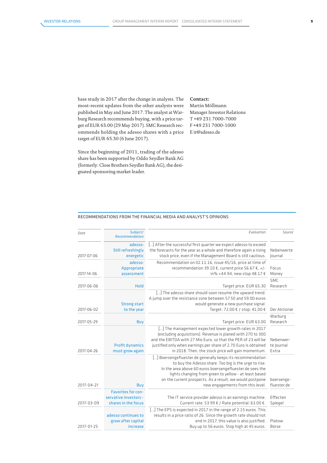base study in 2017 after the change in analysts. The most-recent updates from the other analysts were published in May and June 2017. The analyst at Warburg Research recommends buying, with a price target of EUR 63.00 (29 May 2017). SMC Research recommends holding the adesso shares with a price target of EUR 65.30 (6 June 2017).

Since the beginning of 2011, trading of the adesso share has been supported by Oddo Seydler Bank AG (formerly: Close Brothers Seydler Bank AG), the designated sponsoring market leader.

# **Contact:** Martin Möllmann Manager Investor Relations T +49 231 7000-7000 F +49 231 7000-1000 E ir@adesso.de

## Recommendations from the financial Media and Analyst's opinions

| <b>Date</b> | Subject/<br>Recommendation                                                | Evaluation                                                                                                                                                                                                                                                                                                                               | Source                           |
|-------------|---------------------------------------------------------------------------|------------------------------------------------------------------------------------------------------------------------------------------------------------------------------------------------------------------------------------------------------------------------------------------------------------------------------------------|----------------------------------|
| 2017-07-06  | adesso:<br><b>Still refreshingly</b><br>energetic                         | [] After the successful first quarter we expect adesso to exceed<br>the forecasts for the year as a whole and therefore again a rising<br>stock price, even if the Management Board is still cautious.                                                                                                                                   | Nebenwerte<br>Journal            |
| 2017-14-06  | adesso:<br>Appropriate<br>assessment                                      | Recommendation on 02.11.16, issue 45/16, price at time of<br>recommendation 39.10 €, current price 56.67 €, +/-<br>in% +44.94, new stop 48.17 €                                                                                                                                                                                          | Focus<br>Money                   |
| 2017-06-06  | Hold                                                                      | Target price: EUR 65.30                                                                                                                                                                                                                                                                                                                  | <b>SMC</b><br>Research           |
| 2017-06-02  | <b>Strong start</b><br>to the year                                        | [] The adesso share should soon resume the upward trend.<br>A jump over the resistance zone between 57.50 and 59.00 euros<br>would generate a new purchase signal.<br>Target: 72,00 € / stop: 41,00 €                                                                                                                                    | Der Aktionär                     |
| 2017-05-29  | Buy                                                                       | Target price: EUR 63.00                                                                                                                                                                                                                                                                                                                  | Warburg<br>Research              |
| 2017-04-26  | <b>Profit dynamics</b><br>must grow again                                 | [] The management expected lower growth rates in 2017<br>(excluding acquisitions). Revenue is planed with 270 to 300<br>and the EBITDA with 27 Mio Euro, so that the PER of 23 will be<br>justified only when earnings per share of 2.70 Euro is obtained<br>in 2018. Then, the stock price will gain momentum.                          | Nebenwer-<br>te Journal<br>Extra |
| 2017-04-21  | Buy                                                                       | [] Boersengefluester.de generally keeps its recommendation<br>to buy the Adesso share. Too big is the urge to rise.<br>In the area above 60 euros boersengefluester.de sees the<br>lights changing from green to yellow - at least based<br>on the current prospects. As a result, we would postpone<br>new engagements from this level. | boersenge-<br>fluester.de        |
| 2017-03-09  | <b>Favorites for con-</b><br>servative investors -<br>shares in the focus | The IT service provider adesso is an earnings machine.<br>Current rate: 53.99 € / Rate potential: 63.00 €.                                                                                                                                                                                                                               | Effecten<br>Spiegel              |
| 2017-01-25  | adesso continues to<br>grow after capital<br>increase                     | [] The EPS is expected in 2017 in the range of 2.15 euros. This<br>results in a price ratio of 26. Since the growth rate should not<br>end in 2017, this value is also justified.<br>Buy up to 56 euros. Stop high at 45 euros.                                                                                                          | Platow<br>Börse                  |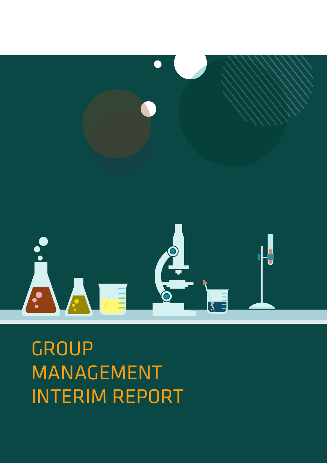# **GROUP** MANAGEMENT INTERIM REPORT



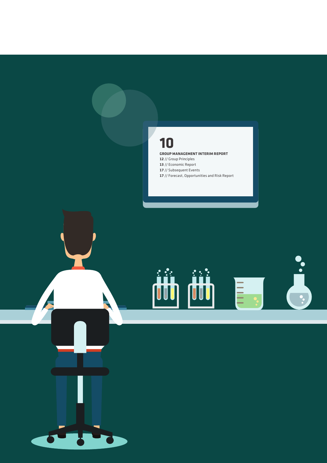# 

# **GROUP MANAGEMENT INTERIM REPORT**

 // Group Principles // Economic Report // Subsequent Events // Forecast, Opportunities and Risk Report



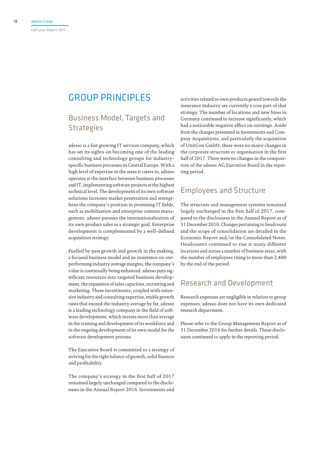# Group Principles

# Business Model, Targets and **Strategies**

adesso is a fast growing IT services company, which has set its sights on becoming one of the leading consulting and technology groups for industryspecific business processes in Central Europe. With a high level of expertise in the areas it caters to, adesso operates at the interface between business processes and IT, implementing software projects at the highest technical level. The development of its own software solutions increases market penetration and strengthens the company's position in promising IT fields, such as mobilisation and enterprise content management. adesso pursues the internationalisation of its own product sales as a strategic goal. Enterprise development is complemented by a well-defined acquisition strategy.

Fuelled by past growth and growth in the making, a focused business model and an insistence on outperforming industry average margins, the company's value is continually being enhanced. adesso puts significant resources into targeted business development, the expansion of sales capacities, recruiting and marketing. These investments, coupled with extensive industry and consulting expertise, enable growth rates that exceed the industry average by far. adesso is a leading technology company in the field of software development, which invests more than average in the training and development of its workforce and in the ongoing development of its own model for the software development process.

The Executive Board is committed to a strategy of striving for the right balance of growth, solid finances and profitability.

The company's strategy in the first half of 2017 remained largely unchanged compared to the disclosures in the Annual Report 2016. Investments and

activities related to own products geared towards the insurance industry are currently a core part of that strategy. The number of locations and new hires in Germany continued to increase significantly, which had a noticeable negative effect on earnings. Aside from the changes presented in Investments and Company Acquisitions, and particularly the acquisition of UnitCon GmbH, there were no major changes in the corporate structure or organisation in the first half of 2017. There were no changes in the composition of the adesso AG Executive Board in the reporting period.

# Employees and Structure

The structure and management systems remained largely unchanged in the first half of 2017, compared to the disclosures in the Annual Report as of 31 December 2016. Changes pertaining to headcount and the scope of consolidation are detailed in the Economic Report and/or the Consolidated Notes. Headcounts continued to rise at many different locations and across a number of business areas, with the number of employees rising to more than 2,400 by the end of the period.

# Research and Development

Research expenses are negligible in relation to group expenses. adesso does not have its own dedicated research department.

Please refer to the Group Management Report as of 31 December 2016 for further details. These disclosures continued to apply in the reporting period.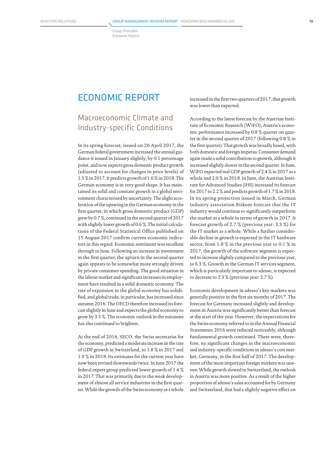Group Principles Economic Report

# Economic Report

# Macroeconomic Climate and Industry-specific Conditions

In its spring forecast, issued on 26 April 2017, the German federal government increased the annual guidance it issued in January slightly, by 0.1 percentage point, and now expects gross domestic product growth (adjusted to account for changes in price levels) of 1.5 % in 2017. It predicts growth of 1.6 % in 2018. The German economy is in very good shape. It has maintained its solid and constant growth in a global environment characterised by uncertainty. The slight acceleration of the upswing in the German economy in the first quarter, in which gross domestic product (GDP) grew by 0.7 %, continued in the second quarter of 2017 with slightly lower growth of 0.6 %. The initial calculations of the Federal Statistical Office published on 15 August 2017 confirm current economic indicators in this regard. Economic sentiment was excellent through to June. Following an increase in investment in the first quarter, the upturn in the second quarter again appears to be somewhat more strongly driven by private consumer spending. The good situation in the labour market and significant increases in employment have resulted in a solid domestic economy. The rate of expansion in the global economy has solidified, and global trade, in particular, has increased since autumn 2016. The OECD therefore increased its forecast slightly in June and expects the global economy to grow by 3.5 %. The economic outlook in the eurozone has also continued to brighten.

At the end of 2016, SECO, the Swiss secretariat for the economy, predicted a moderate increase in the rate of GDP growth in Switzerland, to 1.8 % in 2017 and 1.9 % in 2018. Its estimates for the current year have now been revised downwards twice. In June 2017 the federal expert group predicted lower growth of 1.4 % in 2017. That was primarily due to the weak development of almost all service industries in the first quarter. While the growth of the Swiss economy as a whole increased in the first two quarters of 2017, that growth was lower than expected.

According to the latest forecast by the Austrian Institute of Economic Research (WIFO), Austria's economic performance increased by 0.8 % quarter on quarter in the second quarter of 2017 (following 0.8 % in the first quarter). That growth was broadly based, with both domestic and foreign impetus. Consumer demand again made a solid contribution to growth, although it increased slightly slower in the second quarter. In June, WIFO expected real GDP growth of 2.4 % in 2017 as a whole and 2.0 % in 2018. In June, the Austrian Institute for Advanced Studies (IHS) increased its forecast for 2017 to 2.2 % and predicts growth of 1.7 % in 2018. In its spring projection issued in March, German industry association Bitkom forecast that the IT industry would continue to significantly outperform the market as a whole in terms of growth in 2017. It forecast growth of 2.7 % (previous year: 3.3 %) for the IT market as a whole. While a further considerable decline in growth is expected in the IT hardware sector, from 1.8 % in the previous year to 0.1 % in 2017, the growth of the software segment is expected to increase slightly compared to the previous year, to 6.3 %. Growth in the German IT services segment, which is particularly important to adesso, is expected to decrease to 2.3 % (previous year: 2.7 %).

Economic development in adesso's key markets was generally positive in the first six months of 2017. The forecast for Germany increased slightly and development in Austria was significantly better than forecast at the start of the year. However, the expectations for the Swiss economy referred to in the Annual Financial Statements 2016 were reduced noticeably, although fundamental growth continued. There were, therefore, no significant changes in the macroeconomic and industry-specific conditions in adesso's core market, Germany, in the first half of 2017. The development of the most important foreign markets was uneven. While growth slowed in Switzerland, the outlook in Austria was more positive. As a result of the higher proportion of adesso's sales accounted for by Germany and Switzerland, that had a slightly negative effect on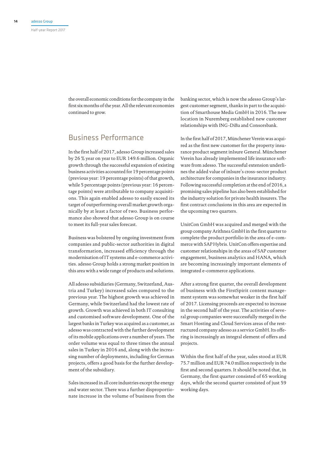the overall economic conditions for the company in the first six months of the year. All the relevant economies continued to grow.

# Business Performance

In the first half of 2017, adesso Group increased sales by 26 % year on year to EUR 149.6 million. Organic growth through the successful expansion of existing business activities accounted for 19 percentage points (previous year: 19 percentage points) of that growth, while 5 percentage points (previous year: 16 percentage points) were attributable to company acquisitions. This again enabled adesso to easily exceed its target of outperforming overall market growth organically by at least a factor of two. Business performance also showed that adesso Group is on course to meet its full-year sales forecast.

Business was bolstered by ongoing investment from companies and public-sector authorities in digital transformation, increased efficiency through the modernisation of IT systems and e-commerce activities. adesso Group holds a strong market position in this area with a wide range of products and solutions.

All adesso subsidiaries (Germany, Switzerland, Austria and Turkey) increased sales compared to the previous year. The highest growth was achieved in Germany, while Switzerland had the lowest rate of growth. Growth was achieved in both IT consulting and customised software development. One of the largest banks in Turkey was acquired as a customer, as adesso was contracted with the further development of its mobile applications over a number of years. The order volume was equal to three times the annual sales in Turkey in 2016 and, along with the increasing number of deployments, including for German projects, offers a good basis for the further development of the subsidiary.

Sales increased in all core industries except the energy and water sector. There was a further disproportionate increase in the volume of business from the

banking sector, which is now the adesso Group's largest customer segment, thanks in part to the acquisition of Smarthouse Media GmbH in 2016. The new location in Nuremberg established new customer relationships with ING-DiBa and Consorsbank.

In the first half of 2017, Münchener Verein was acquired as the first new customer for the property insurance product segment inIsure General. Münchener Verein has already implemented life insurance software from adesso. The successful extension underlines the added value of inIsure's cross-sector product architecture for companies in the insurance industry. Following successful completion at the end of 2016, a promising sales pipeline has also been established for the industry solution for private health insurers. The first contract conclusions in this area are expected in the upcoming two quarters.

UnitCon GmbH was acquired and merged with the group company Arithnea GmbH in the first quarter to complete the product portfolio in the area of e-commerce with SAP Hybris. UnitCon offers expertise and customer relationships in the areas of SAP customer engagement, business analytics and HANA, which are becoming increasingly important elements of integrated e-commerce applications.

After a strong first quarter, the overall development of business with the FirstSpirit content management system was somewhat weaker in the first half of 2017. Licensing proceeds are expected to increase in the second half of the year. The activities of several group companies were successfully merged in the Smart Hosting and Cloud Services areas of the restructured company adesso as a service GmbH. Its offering is increasingly an integral element of offers and projects.

Within the first half of the year, sales stood at EUR 75.7 million and EUR 74.0 million respectively in the first and second quarters. It should be noted that, in Germany, the first quarter consisted of 65 working days, while the second quarter consisted of just 59 working days.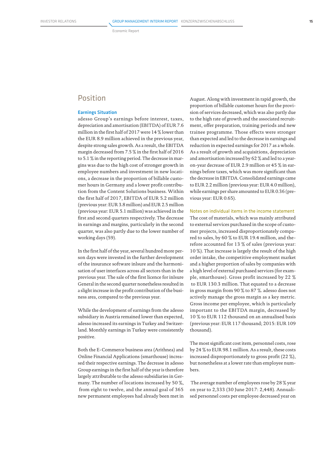Economic Report

# Position

# Earnings Situation

adesso Group's earnings before interest, taxes, depreciation and amortisation (EBITDA) of EUR 7.6 million in the first half of 2017 were 14 % lower than the EUR 8.9 million achieved in the previous year, despite strong sales growth. As a result, the EBITDA margin decreased from 7.5 % in the first half of 2016 to 5.1 % in the reporting period. The decrease in margins was due to the high cost of stronger growth in employee numbers and investment in new locations, a decrease in the proportion of billable customer hours in Germany and a lower profit contribution from the Content Solutions business. Within the first half of 2017, EBITDA of EUR 5.2 million (previous year: EUR 3.8 million) and EUR 2.5 million (previous year: EUR 5.1 million) was achieved in the first and second quarters respectively. The decrease in earnings and margins, particularly in the second quarter, was also partly due to the lower number of working days (59).

In the first half of the year, several hundred more person days were invested in the further development of the insurance software inlsure and the harmonisation of user interfaces across all sectors than in the previous year. The sale of the first licence for inIsure General in the second quarter nonetheless resulted in a slight increase in the profit contribution of the business area, compared to the previous year.

While the development of earnings from the adesso subsidiary in Austria remained lower than expected, adesso increased its earnings in Turkey and Switzerland. Monthly earnings in Turkey were consistently positive.

Both the E-Commerce business area (Arithnea) and Online Financial Applications (smarthouse) increased their respective earnings. The decrease in adesso Group earnings in the first half of the year is therefore largely attributable to the adesso subsidiaries in Germany. The number of locations increased by 50 %, from eight to twelve, and the annual goal of 365 new permanent employees had already been met in August. Along with investment in rapid growth, the proportion of billable customer hours for the provision of services decreased, which was also partly due to the high rate of growth and the associated recruitment, offer preparation, training periods and new trainee programme. Those effects were stronger than expected and led to the decrease in earnings and reduction in expected earnings for 2017 as a whole. As a result of growth and acquisitions, depreciation and amortisation increased by 62 % and led to a yearon-year decrease of EUR 2.9 million or 45 % in earnings before taxes, which was more significant than the decrease in EBITDA. Consolidated earnings came to EUR 2.2 million (previous year: EUR 4.0 million), while earnings per share amounted to EUR 0.36 (previous year: EUR 0.65).

Notes on individual items in the income statement The cost of materials, which was mainly attributed to external services purchased in the scope of customer projects, increased disproportionately compared to sales, by 60 % to EUR 19.4 million, and therefore accounted for 13 % of sales (previous year: 10 %). That increase is largely the result of the high order intake, the competitive employment market and a higher proportion of sales by companies with a high level of external purchased services (for example, smarthouse). Gross profit increased by 22 % to EUR 130.3 million. That equated to a decrease in gross margin from 90 % to 87 %. adesso does not actively manage the gross margin as a key metric. Gross income per employee, which is particularly important to the EBITDA margin, decreased by 10 % to EUR 112 thousand on an annualised basis (previous year: EUR 117 thousand; 2015: EUR 109 thousand).

The most significant cost item, personnel costs, rose by 24 % to EUR 98.1 million. As a result, these costs increased disproportionately to gross profit (22 %), but nonetheless at a lower rate than employee numbers.

 The average number of employees rose by 28 % year on year to 2,333 (30 June 2017: 2,448). Annualised personnel costs per employee decreased year on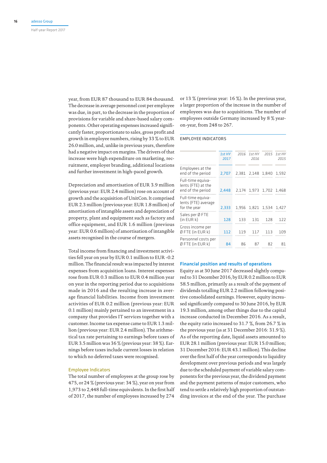year, from EUR 87 thousand to EUR 84 thousand. The decrease in average personnel cost per employee was due, in part, to the decrease in the proportion of provisions for variable and share-based salary components. Other operating expenses increased significantly faster, proportionate to sales, gross profit and growth in employee numbers, rising by 33 % to EUR 26.0 million, and, unlike in previous years, therefore had a negative impact on margins. The drivers of that increase were high expenditure on marketing, recruitment, employer branding, additional locations and further investment in high-paced growth.

Depreciation and amortisation of EUR 3.9 million (previous year: EUR 2.4 million) rose on account of growth and the acquisition of UnitCon. It comprised EUR 2.3 million (previous year: EUR 1.8 million) of amortisation of intangible assets and depreciation of property, plant and equipment such as factory and office equipment, and EUR 1.6 million (previous year: EUR 0.6 million) of amortisation of intangible assets recognised in the course of mergers.

Total income from financing and investment activities fell year on year by EUR 0.1 million to EUR -0.2 million. The financial result was impacted by interest expenses from acquisition loans. Interest expenses rose from EUR 0.3 million to EUR 0.4 million year on year in the reporting period due to acquisitions made in 2016 and the resulting increase in average financial liabilities. Income from investment activities of EUR 0.2 million (previous year: EUR 0.1 million) mainly pertained to an investment in a company that provides IT services together with a customer. Income tax expense came to EUR 1.3 million (previous year: EUR 2.4 million). The arithmetical tax rate pertaining to earnings before taxes of EUR 3.5 million was 36 % (previous year: 38 %). Earnings before taxes include current losses in relation to which no deferred taxes were recognised.

# Employee Indicators

The total number of employees at the group rose by 475, or 24 % (previous year: 34 %), year on year from 1,973 to 2,448 full-time equivalents. In the first half of 2017, the number of employees increased by 274

or 13 % (previous year: 16 %). In the previous year, a larger proportion of the increase in the number of employees was due to acquisitions. The number of employees outside Germany increased by 8 % yearon-year, from 248 to 267.

## Employee Indicators

|                                                              | 1st HY<br>2017 | 2016  | 1st HY<br>2016 | 2015  | 1st HY<br>2015 |
|--------------------------------------------------------------|----------------|-------|----------------|-------|----------------|
| Employees at the<br>end of the period                        | 2,707          | 2.381 | 2,148          | 1,840 | 1.592          |
| Full-time equiva-<br>lents (FTE) at the<br>end of the period | 2,448          | 2.174 | 1.973          | 1.702 | 1.468          |
| Full-time equiva-<br>lents (FTE) average<br>for the year     | 2,333          | 1.956 | 1.821          |       | 1.534 1.427    |
| Sales per Ø FTE<br>(in EUR k)                                | 128            | 133   | 131            | 128   | 122            |
| Gross income per<br>Ø FTE (in EUR k)                         | 112            | 119   | 117            | 113   | 1 N 9          |
| Personnel costs per<br>ØFTE (in EUR k)                       | 84             | 86    | 87             | 82    | 81             |
|                                                              |                |       |                |       |                |

## Financial position and results of operations

Equity as at 30 June 2017 decreased slightly compared to 31 December 2016, by EUR 0.2 million to EUR 58.5 million, primarily as a result of the payment of dividends totalling EUR 2.2 million following positive consolidated earnings. However, equity increased significantly compared to 30 June 2016, by EUR 19.3 million, among other things due to the capital increase conducted in December 2016. As a result, the equity ratio increased to 31.7 %, from 26.7 % in the previous year (as at 31 December 2016: 31.9 %). As of the reporting date, liquid assets amounted to EUR 28.1 million (previous year: EUR 15.0 million; 31 December 2016: EUR 43.1 million). This decline over the first half of the year corresponds to liquidity development over previous periods and was largely due to the scheduled payment of variable salary components for the previous year, the dividend payment and the payment patterns of major customers, who tend to settle a relatively high proportion of outstanding invoices at the end of the year. The purchase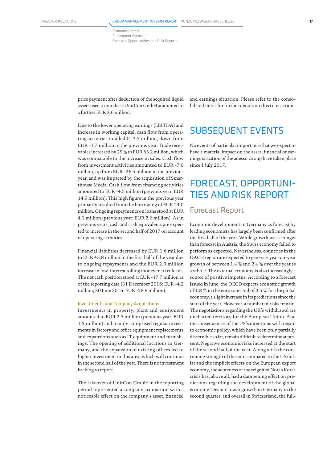Economic Report Subsequent Events Forecast, Opportunities and Risk Reports

price payment after deduction of the acquired liquid assets used to purchase UnitCon GmbH amounted to a further EUR 3.6 million.

Due to the lower operating earnings (EBITDA) and increase in working capital, cash flow from operating activities totalled  $\in$  -3.5 million, down from EUR -1.7 million in the previous year. Trade receivables increased by 29 % to EUR 63.2 million, which was comparable to the increase in sales. Cash flow from investment activities amounted to EUR -7.0 million, up from EUR -26.5 million in the previous year, and was impacted by the acquisition of Smarthouse Media. Cash flow from financing activities amounted to EUR -4.5 million (previous year: EUR 14.9 million). This high figure in the previous year primarily resulted from the borrowing of EUR 24.0 million. Ongoing repayments on loans stood at EUR 4.1 million (previous year: EUR 2.6 million). As in previous years, cash and cash equivalents are expected to increase in the second half of 2017 on account of operating activities.

Financial liabilities decreased by EUR 1.6 million to EUR 45.8 million in the first half of the year due to ongoing repayments and the EUR 2.0 million increase in low-interest rolling money market loans. The net cash position stood at EUR -17.7 million as of the reporting date (31 December 2016: EUR -4.2 million; 30 June 2016: EUR -28.8 million).

## Investments and Company Acquisitions

Investments in property, plant and equipment amounted to EUR 2.5 million (previous year: EUR 1.3 million) and mainly comprised regular investments in factory and office equipment replacements and expansions such as IT equipment and furnishings. The opening of additional locations in Germany, and the expansion of existing offices led to higher investment in this area, which will continue in the second half of the year. There is no investment backlog to report.

The takeover of UnitCon GmbH in the reporting period represented a company acquisition with a noticeable effect on the company's asset, financial and earnings situation. Please refer to the consolidated notes for further details on this transaction.

# SUBSEQUENT EVENTS

No events of particular importance that we expect to have a material impact on the asset, financial or earnings situation of the adesso Group have taken place since 1 July 2017.

# FORECAST, OPPORTUNI-TIES AND RISK REPORT

# Forecast Report

Economic development in Germany as forecast by leading economists has largely been confirmed after the first half of the year. While growth was stronger than forecast in Austria, the Swiss economy failed to perform as expected. Nevertheless, countries in the DACH region are expected to generate year-on-year growth of between 1.4 % and 2.4 % over the year as a whole. The external economy is also increasingly a source of positive impetus. According to a forecast issued in June, the OECD expects economic growth of 1.8 % in the eurozone and of 3.5 % for the global economy, a slight increase in its predictions since the start of the year. However, a number of risks remain. The negotiations regarding the UK's withdrawal are uncharted territory for the European Union. And the consequences of the US's intentions with regard to economic policy, which have been only partially discernible so far, remain difficult to determine at present. Negative economic risks increased at the start of the second half of the year. Along with the continuing strength of the euro compared to the US dollar and the implicit effects on the European export economy, the acuteness of the reignited North Korea crisis has, above all, had a dampening effect on predictions regarding the development of the global economy. Despite lower growth in Germany in the second quarter, and overall in Switzerland, the full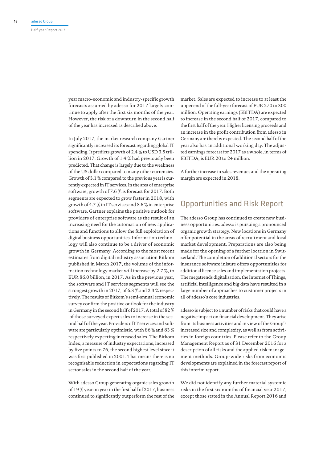year macro-economic and industry-specific growth forecasts assumed by adesso for 2017 largely continue to apply after the first six months of the year. However, the risk of a downturn in the second half of the year has increased as described above.

In July 2017, the market research company Gartner significantly increased its forecast regarding global IT spending. It predicts growth of 2.4 % to USD 3.5 trillion in 2017. Growth of 1.4 % had previously been predicted. That change is largely due to the weakness of the US dollar compared to many other currencies. Growth of 3.1 % compared to the previous year is currently expected in IT services. In the area of enterprise software, growth of 7.6 % is forecast for 2017. Both segments are expected to grow faster in 2018, with growth of 4.7 % in IT services and 8.6 % in enterprise software. Gartner explains the positive outlook for providers of enterprise software as the result of an increasing need for the automation of new applications and functions to allow the full exploitation of digital business opportunities. Information technology will also continue to be a driver of economic growth in Germany. According to the most recent estimates from digital industry association Bitkom published in March 2017, the volume of the information technology market will increase by 2.7 %, to EUR 86.0 billion, in 2017. As in the previous year, the software and IT services segments will see the strongest growth in 2017, of 6.3 % and 2.3 % respectively. The results of Bitkom's semi-annual economic survey confirm the positive outlook for the industry in Germany in the second half of 2017. A total of 82 % of those surveyed expect sales to increase in the second half of the year. Providers of IT services and software are particularly optimistic, with 86 % and 83 % respectively expecting increased sales. The Bitkom Index, a measure of industry expectations, increased by five points to 76, the second highest level since it was first published in 2001. That means there is no recognisable reduction in expectations regarding IT sector sales in the second half of the year.

With adesso Group generating organic sales growth of 19 % year on year in the first half of 2017, business continued to significantly outperform the rest of the

market. Sales are expected to increase to at least the upper end of the full-year forecast of EUR 270 to 300 million. Operating earnings (EBITDA) are expected to increase in the second half of 2017, compared to the first half of the year. Higher licensing proceeds and an increase in the profit contribution from adesso in Germany are thereby expected. The second half of the year also has an additional working day. The adjusted earnings forecast for 2017 as a whole, in terms of EBITDA, is EUR 20 to 24 million.

A further increase in sales revenues and the operating margin are expected in 2018.

# Opportunities and Risk Report

The adesso Group has continued to create new business opportunities. adesso is pursuing a pronounced organic growth strategy. New locations in Germany offer potential in the areas of recruitment and local market development. Preparations are also being made for the opening of a further location in Switzerland. The completion of additional sectors for the insurance software inlsure offers opportunities for additional licence sales and implementation projects. The megatrends digitalisation, the Internet of Things, artificial intelligence and big data have resulted in a large number of approaches to customer projects in all of adesso's core industries.

adesso is subject to a number of risks that could have a negative impact on financial development. They arise from its business activities and in view of the Group's increased size and complexity, as well as from activities in foreign countries. Please refer to the Group Management Report as of 31 December 2016 for a description of all risks and the applied risk management methods. Group-wide risks from economic developments are explained in the forecast report of this interim report.

We did not identify any further material systemic risks in the first six months of financial year 2017, except those stated in the Annual Report 2016 and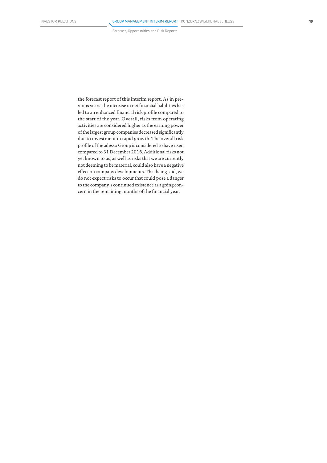Forecast, Opportunities and Risk Reports

the forecast report of this interim report. As in previous years, the increase in net financial liabilities has led to an enhanced financial risk profile compared to the start of the year. Overall, risks from operating activities are considered higher as the earning power of the largest group companies decreased significantly due to investment in rapid growth. The overall risk profile of the adesso Group is considered to have risen compared to 31 December 2016. Additional risks not yet known to us, as well as risks that we are currently not deeming to be material, could also have a negative effect on company developments. That being said, we do not expect risks to occur that could pose a danger to the company's continued existence as a going concern in the remaining months of the financial year.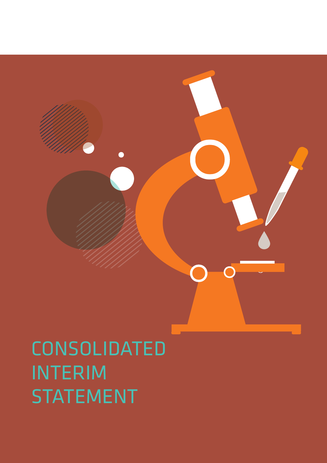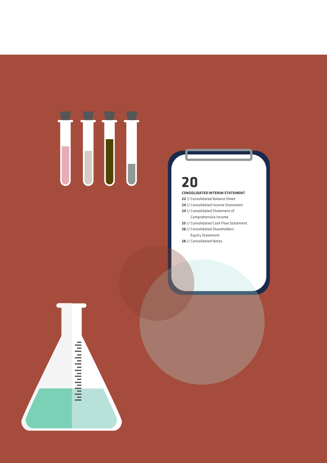# 

# 

# **Consolidated Interim Statement**

- // Consolidated Balance Sheet
- // Consolidated Income Statement
- // Consolidated Statement of
- Comprehensive Income // Consolidated Cash Flow Statement
- // Consolidated Shareholders
- Equity Statement
- // Consolidated Notes

# **Gibbolishi**ning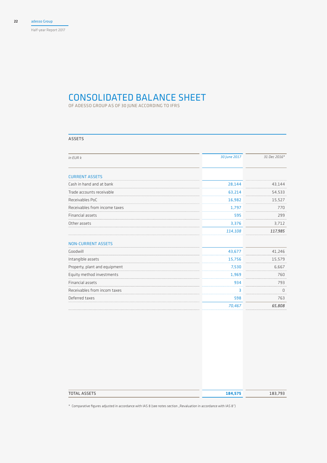# CONSOLIDATED BALANCE SHE

Of adesso Group As of 30 June according to IFRS

# Assets

| in EUR k                      | 30 June 2017 | 31 Dec 2016* |
|-------------------------------|--------------|--------------|
| <b>CURRENT ASSETS</b>         |              |              |
| Cash in hand and at bank      | 28,144       | 43,144       |
| Trade accounts receivable     | 63,214       | 54,533       |
| Receivables PoC               | 16,982       | 15,527       |
| Receivables from income taxes | 1,797        | 770          |
| Financial assets              | 595          | 299          |
| Other assets                  | 3,376        | 3,712        |
|                               | 114,108      | 117,985      |
| <b>NON-CURRENT ASSETS</b>     |              |              |
| Goodwill                      | 43,677       | 41,246       |
| Intangible assets             | 15,756       | 15,579       |
| Property, plant and equipment | 7,530        | 6,667        |
| Equity method investments     | 1,969        | 760          |
| Financial assets              | 934          | 793          |
| Receivables from incom taxes  | 3            | 0            |
| Deferred taxes                | 598          | 763          |
|                               | 70,467       | 65,808       |

| <b>TOTAL ASSETS</b> | 184,575 | 183,793 |
|---------------------|---------|---------|
|                     |         |         |

\* Comparative figures adjusted in accordance with IAS 8 (see notes section "Revaluation in accordance with IAS 8")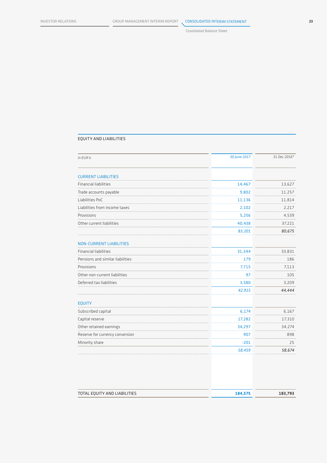# Equity and Liabilities

| in EUR k                         | 30 June 2017 | 31 Dec 2016* |
|----------------------------------|--------------|--------------|
|                                  |              |              |
| <b>CURRENT LIABILITIES</b>       |              |              |
| <b>Financial liabilities</b>     | 14,467       | 13,627       |
| Trade accounts payable           | 9,802        | 11,257       |
| Liabilities PoC                  | 11,136       | 11,814       |
| Liabilities from income taxes    | 2,102        | 2,217        |
| Provisions                       | 5,256        | 4,539        |
| Other current liabilities        | 40,438       | 37,221       |
|                                  | 83,201       | 80,675       |
| <b>NON-CURRENT LIABILITIES</b>   |              |              |
| <b>Financial liabilities</b>     | 31,344       | 33,831       |
| Pensions and similar liabilities | 179          | 186          |
| Provisions                       | 7,715        | 7,113        |
| Other non-current liabilities    | 97           | 105          |
| Deferred tax liabilities         | 3,580        | 3,209        |
|                                  | 42,915       | 44,444       |
| <b>EQUITY</b>                    |              |              |
| Subscribed capital               | 6,174        | 6,167        |
| Capital reserve                  | 17,282       | 17,310       |
| Other retained earnings          | 34,297       | 34,274       |
| Reserve for currency conversion  | 907          | 898          |
| Minority share                   | $-201$       | 25           |
|                                  | 58,459       | 58,674       |
|                                  |              |              |

| TOTAL EQUITY AND LIABILITIES | 184.575 | 183.793 |
|------------------------------|---------|---------|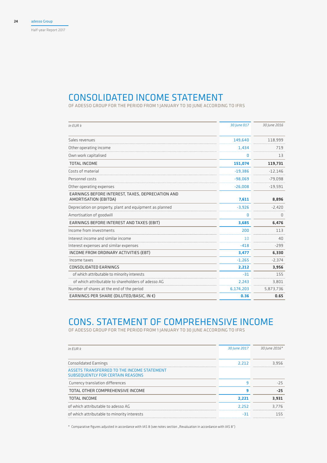# CONSOLIDATED INCOME STA

Of adesso Group for the period from 1 January to 30 June according to IFRS

| $in$ FUR $k$                                                               | 30 June 017 | 30 June 2016 |
|----------------------------------------------------------------------------|-------------|--------------|
| Sales revenues                                                             | 149,640     | 118,999      |
| Other operating income                                                     | 1,434       | 719          |
| Own work capitalised                                                       | 0           | 13           |
| TOTAL INCOME                                                               | 151,074     | 119,731      |
| Costs of material                                                          | $-19,386$   | $-12,146$    |
| Personnel costs                                                            | $-98,069$   | $-79,098$    |
| Other operating expenses                                                   | $-26,008$   | $-19,591$    |
| EARNINGS BEFORE INTEREST, TAXES, DEPRECIATION AND<br>AMORTISATION (EBITDA) | 7,611       | 8,896        |
| Depreciation on property, plant and equipment as planned                   | $-3,926$    | $-2,420$     |
| Amortisation of goodwill                                                   | 0           | 0            |
| EARNINGS BEFORE INTEREST AND TAXES (EBIT)                                  | 3,685       | 6,476        |
| Income from investments                                                    | 200         | 113          |
| Interest income and similar income                                         | 10          | 40           |
| Interest expenses and similar expenses                                     | $-418$      | $-299$       |
| INCOME FROM ORDINARY ACTIVITIES (EBT)                                      | 3,477       | 6,330        |
| Income taxes                                                               | $-1,265$    | $-2,374$     |
| CONSOLIDATED EARNINGS                                                      | 2,212       | 3,956        |
| of which attributable to minority interests                                | $-31$       | 155          |
| of which attributable to shareholders of adesso AG                         | 2,243       | 3,801        |
| Number of shares at the end of the period                                  | 6,174,203   | 5,873,736    |
| EARNINGS PER SHARE (DILUTED/BASIC, IN €)                                   | 0.36        | 0.65         |

# Cons. Statement of Comprehensive Income

Of adesso Group for the period from 1 January to 30 June according to IFRS

| $in$ FUR $k$                                                                          | 30 June 2017 | 30 June 2016* |
|---------------------------------------------------------------------------------------|--------------|---------------|
| Consolidated Earnings                                                                 | 2.212        | 3.956         |
| ASSETS TRANSFERRED TO THE INCOME STATEMENT<br><b>SUBSEQUENTLY FOR CERTAIN REASONS</b> |              |               |
| Currency translation differences                                                      | q            | $-25$         |
| TOTAL OTHER COMPREHENSIVE INCOME                                                      | o            | $-25$         |
| <b>TOTAL INCOME</b>                                                                   | 2,221        | 3,931         |
| of which attributable to adesso AG                                                    | 2.252        | 3.776         |
| of which attributable to minority interests                                           |              | 155           |

\* Comparative figures adjusted in accordance with IAS 8 (see notes section "Revaluation in accordance with IAS 8")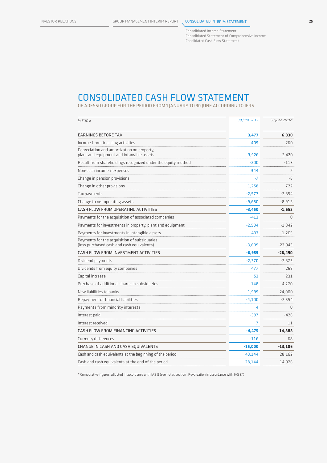Consolidated Income Statement Consolidated Statement of Comprehensive Income Cnsolidated Cash Flow Statement

# Consolidated Cash Flow Statement

Of adesso Group for the period from 1 January to 30 June according to IFRS

| in EUR k                                                                                   | 30 June 2017 | 30 June 2016* |
|--------------------------------------------------------------------------------------------|--------------|---------------|
| <b>EARNINGS BEFORE TAX</b>                                                                 | 3,477        | 6.330         |
| Income from financing activities                                                           | 409          | 260           |
| Depreciation and amortization on property,<br>plant and equipment and intangible assets    | 3,926        | 2,420         |
| Result from shareholdings recognized under the equity method                               | $-200$       | $-113$        |
| Non-cash income / expenses                                                                 | 344          | 2             |
| Change in pension provisions                                                               | $-7$         | -6            |
| Change in other provisions                                                                 | 1,258        | 722           |
| Tax payments                                                                               | $-2,977$     | $-2,354$      |
| Change to net operating assets                                                             | $-9,680$     | $-8,913$      |
| CASH FLOW FROM OPERATING ACTIVITIES                                                        | $-3,450$     | $-1,652$      |
| Payments for the acquisition of associated companies                                       | $-413$       | $\Omega$      |
| Payments for investments in property, plant and equipment                                  | $-2,504$     | $-1.342$      |
| Payments for investments in intangible assets                                              | $-433$       | $-1,205$      |
| Payments for the acquisition of subsiduaries<br>(less purchased cash and cash equivalents) | $-3.609$     | $-23,943$     |
| CASH FLOW FROM INVESTMENT ACTIVITIES                                                       | $-6,959$     | $-26,490$     |
| Dividend payments                                                                          | $-2,370$     | $-2,373$      |
| Dividends from equity companies                                                            | 477          | 269           |
| Capital increase                                                                           | 53           | 231           |
| Purchase of additional shares in subsidiaries                                              | $-148$       | $-4,270$      |
| New liabilities to banks                                                                   | 1,999        | 24,000        |
| Repayment of financial liabilities                                                         | $-4,100$     | $-2,554$      |
| Payments from minority interests                                                           | 4            | $\Omega$      |
| Interest paid                                                                              | -397         | -426          |
| Interest received                                                                          | 7            | 11            |
| CASH FLOW FROM FINANCING ACTIVITIES                                                        | $-4,475$     | 14,888        |
| Currency differences                                                                       | $-116$       | 68            |
| CHANGE IN CASH AND CASH EQUIVALENTS                                                        | $-15,000$    | -13,186       |
| Cash and cash equivalents at the beginning of the period                                   | 43,144       | 28,162        |
| Cash and cash equivalents at the end of the period                                         | 28.144       | 14.976        |

\* Comparative figures adjusted in accordance with IAS 8 (see notes section "Revaluation in accordance with IAS 8")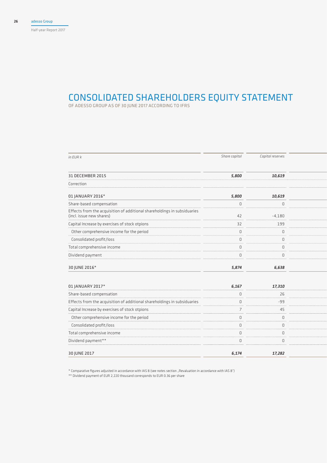Half-year Report 2017

# CONSOLIDATED SHAREHOLDERS EQUITY STA

OF ADESSO GROUP AS OF 30 JUNE 2017 ACCORDING TO I

| in EUR k                                                                                             | Share capital  | Capital reserves |  |
|------------------------------------------------------------------------------------------------------|----------------|------------------|--|
| 31 DECEMBER 2015                                                                                     | 5,800          | 10,619           |  |
| Correction                                                                                           |                |                  |  |
| 01 JANUARY 2016*                                                                                     | 5,800          | 10,619           |  |
| Share-based compensation                                                                             | $\mathbb O$    | $\mathbb O$      |  |
| Effects from the acquisition of additional shareholdings in subsiduaries<br>(incl. issue new shares) | 42             | $-4,180$         |  |
| Capital Increase by exercises of stock otpions                                                       | 32             | 199              |  |
| Other comprehensive income for the period                                                            | $\mathbb O$    | $\mathbb O$      |  |
| Consolidated profit/loss                                                                             | $\mathbf 0$    | $\mathbb O$      |  |
| Total comprehensive income                                                                           | $\mathbf 0$    | $\mathbb O$      |  |
| Dividend payment                                                                                     | $\Omega$       | $\mathbb O$      |  |
| 30 JUNE 2016*                                                                                        | 5,874          | 6,638            |  |
|                                                                                                      |                |                  |  |
| 01 JANUARY 2017*                                                                                     | 6,167          | 17,310           |  |
| Share-based compensation                                                                             | $\mathbb O$    | 26               |  |
| Effects from the acquisition of additional shareholdings in subsiduaries                             | $\mathbb O$    | -99              |  |
| Capital Increase by exercises of stock otpions                                                       | $\overline{7}$ | 45               |  |
| Other comprehensive income for the period                                                            | $\mathbf 0$    | $\mathbb O$      |  |
| Consolidated profit/loss                                                                             | $\mathbf 0$    | $\mathbb O$      |  |
| Total comprehensive income                                                                           | $\mathbb O$    | $\mathbb O$      |  |
| Dividend payment**                                                                                   | $\mathbf 0$    | $\mathbb O$      |  |
| 30 JUNE 2017                                                                                         | 6,174          | 17,282           |  |
|                                                                                                      |                |                  |  |

\* Comparative figures adjusted in accordance with IAS 8 (see notes section "Revaluation in accordance with IAS 8")

\*\* Dividend payment of EUR 2,220 thousand corresponds to EUR 0.36 per share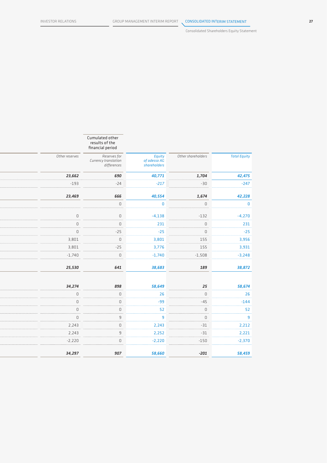Consolidated Shareholders Equity Statement

|                                                                     | Cumulated other<br>results of the<br>financial period |                |
|---------------------------------------------------------------------|-------------------------------------------------------|----------------|
| Other shareholders<br>Equity<br>of adesso AG<br><i>shareholders</i> | Reserves for<br>Currency translation<br>differences   | Other reserves |
| 690<br>40,771<br>1,704                                              |                                                       | 23,662         |
| $-24$<br>$-217$<br>$-30$                                            |                                                       | $-193$         |
|                                                                     |                                                       |                |
| 40,554<br>666<br>1,674                                              |                                                       | 23,469         |
| $\mathbb O$<br>$\mathbf 0$<br>$\mathsf D$                           |                                                       |                |
| $\mathbb O$<br>$-132$<br>$-4,138$                                   |                                                       | $\mathbb O$    |
| $\mathbb O$<br>231<br>$\mathbb O$                                   |                                                       | $\mathbb O$    |
| $-25$<br>$-25$<br>$\mathbb O$                                       |                                                       | $\mathbb O$    |
| $\mathbb O$<br>155<br>3,801                                         |                                                       | 3,801          |
| $-25$<br>155<br>3,776                                               |                                                       | 3,801          |
| $\mathbb O$<br>$-1,740$<br>$-1,508$                                 |                                                       | $-1,740$       |
|                                                                     |                                                       |                |
| 641<br>38,683<br>189                                                |                                                       | 25,530         |
|                                                                     |                                                       |                |
| 898<br>58,649<br>$25\,$                                             |                                                       | 34,274         |
| $\mathbb O$<br>26<br>$\mathsf D$                                    |                                                       | $\mathbb O$    |
| $\mathbb O$<br>$-99$<br>$-45$                                       |                                                       | $\mathbb O$    |
| $\mathbb O$<br>52<br>$\mathbb O$                                    |                                                       | $\mathbb O$    |
| $\overline{9}$<br>$\mathbb O$<br>$\overline{9}$                     |                                                       | $\mathbb O$    |
| $\mathbb O$<br>2,243<br>$-31$                                       |                                                       | 2,243          |
| 9<br>2,252<br>$-31$                                                 |                                                       | 2,243          |
| $\mathbb O$<br>$-2,220$<br>$-150$                                   |                                                       | $-2,220$       |
| 907<br>58,660<br>$-201$                                             |                                                       | 34,297         |
|                                                                     |                                                       |                |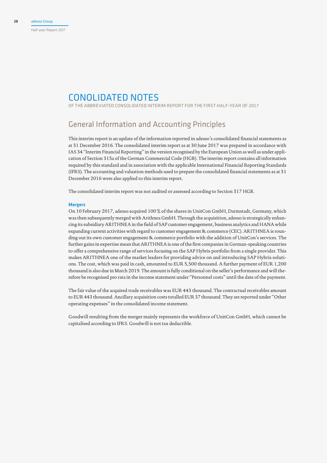# Conolidated Notes

of the Abbreviated Consolidated Interim Report for the first half-year of 2017

# General Information and Accounting Principles

This interim report is an update of the information reported in adesso's consolidated financial statements as at 31 December 2016. The consolidated interim report as at 30 June 2017 was prepared in accordance with IAS 34 "Interim Financial Reporting" in the version recognised by the European Union as well as under application of Section 315a of the German Commercial Code (HGB). The interim report contains all information required by this standard and in association with the applicable International Financial Reporting Standards (IFRS). The accounting and valuation methods used to prepare the consolidated financial statements as at 31 December 2016 were also applied to this interim report.

The consolidated interim report was not audited or assessed according to Section 317 HGB.

## Mergers

On 10 February 2017, adesso acquired 100 % of the shares in UnitCon GmbH, Darmstadt, Germany, which was then subsequently merged with Arithnea GmbH. Through the acquisition, adesso is strategically enhancing its subsidiary ARITHNEA in the field of SAP customer engagement, business analytics and HANA while expanding current activities with regard to customer engagement & commerce (CEC). ARITHNEA is rounding out its own customer engagement & commerce portfolio with the addition of UnitCon's services. The further gains in expertise mean that ARITHNEA is one of the first companies in German-speaking countries to offer a comprehensive range of services focusing on the SAP Hybris portfolio from a single provider. This makes ARITHNEA one of the market leaders for providing advice on and introducing SAP Hybris solutions. The cost, which was paid in cash, amounted to EUR 5,500 thousand. A further payment of EUR 1,200 thousand is also due in March 2019. The amount is fully conditional on the seller's performance and will therefore be recognised pro rata in the income statement under "Personnel costs" until the date of the payment.

The fair value of the acquired trade receivables was EUR 443 thousand. The contractual receivables amount to EUR 443 thousand. Ancillary acquisition costs totalled EUR 37 thousand. They are reported under "Other operating expenses" in the consolidated income statement.

Goodwill resulting from the merger mainly represents the workforce of UnitCon GmbH, which cannot be capitalised according to IFRS. Goodwill is not tax deductible.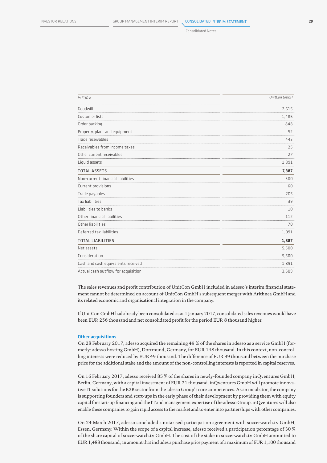Consolidated Notes

| in EUR k                            | UnitCon GmbH |
|-------------------------------------|--------------|
| Goodwill                            | 2,615        |
| Customer lists                      | 1,486        |
| Order backlog                       | 848          |
| Property, plant and equipment       | 52           |
| Trade receivables                   | 443          |
| Receivables from income taxes       | 25           |
| Other current receivables           | 27           |
| Liquid assets                       | 1,891        |
| <b>TOTAL ASSETS</b>                 | 7,387        |
| Non-current financial liabilities   | 300          |
| Current provisions                  | 60           |
| Trade payables                      | 205          |
| Tax liabilities                     | 39           |
| Liabilities to banks                | 10           |
| Other financial liabilities         | 112          |
| Other liabilities                   | 70           |
| Deferred tax liabilities            | 1,091        |
| <b>TOTAL LIABILITIES</b>            | 1,887        |
| Net assets                          | 5,500        |
| Consideration                       | 5,500        |
| Cash and cash equivalents received  | 1,891        |
| Actual cash outflow for acquisition | 3,609        |

The sales revenues and profit contribution of UnitCon GmbH included in adesso's interim financial statement cannot be determined on account of UnitCon GmbH's subsequent merger with Arithnea GmbH and its related economic and organisational integration in the company.

If UnitCon GmbH had already been consolidated as at 1 January 2017, consolidated sales revenues would have been EUR 256 thousand and net consolidated profit for the period EUR 8 thousand higher.

## Other acquisitions

On 28 February 2017, adesso acquired the remaining 49 % of the shares in adesso as a service GmbH (formerly: adesso hosting GmbH), Dortmund, Germany, for EUR 148 thousand. In this context, non-controlling interests were reduced by EUR 49 thousand. The difference of EUR 99 thousand between the purchase price for the additional stake and the amount of the non-controlling interests is reported in capital reserves.

On 16 February 2017, adesso received 85 % of the shares in newly-founded company inQventures GmbH, Berlin, Germany, with a capital investment of EUR 21 thousand. inQventures GmbH will promote innovative IT solutions for the B2B sector from the adesso Group's core competences. As an incubator, the company is supporting founders and start-ups in the early phase of their development by providing them with equity capital for start-up financing and the IT and management expertise of the adesso Group. inQventures will also enable these companies to gain rapid access to the market and to enter into partnerships with other companies.

On 24 March 2017, adesso concluded a notarised participation agreement with soccerwatch.tv GmbH, Essen, Germany. Within the scope of a capital increase, adesso received a participation percentage of 30 % of the share capital of soccerwatch.tv GmbH. The cost of the stake in soccerwatch.tv GmbH amounted to EUR 1,488 thousand, an amount that includes a purchase price payment of a maximum of EUR 1,100 thousand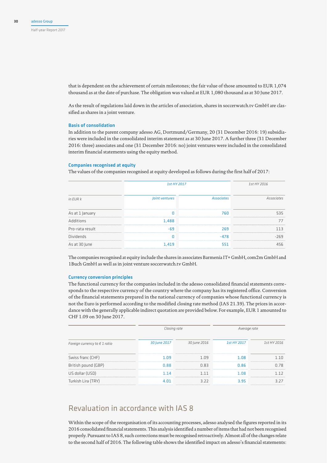that is dependent on the achievement of certain milestones; the fair value of those amounted to EUR 1,074 thousand as at the date of purchase. The obligation was valued at EUR 1,080 thousand as at 30 June 2017.

As the result of regulations laid down in the articles of association, shares in soccerwatch.tv GmbH are classified as shares in a joint venture.

# Basis of consolidation

In addition to the parent company adesso AG, Dortmund/Germany, 20 (31 December 2016: 19) subsidiaries were included in the consolidated interim statement as at 30 June 2017. A further three (31 December 2016: three) associates and one (31 December 2016: no) joint ventures were included in the consolidated interim financial statements using the equity method.

## Companies recognised at equity

The values of the companies recognised at equity developed as follows during the first half of 2017:

|                  | 1st HY 2017    |                   | 1st HY 2016       |  |
|------------------|----------------|-------------------|-------------------|--|
| in EUR k         | Joint ventures | <b>Associates</b> | <b>Associates</b> |  |
| As at 1 January  |                | 760               | 535               |  |
| Additions        | 1,488          |                   |                   |  |
| Pro-rata result  | $-69$          | 269               | -3                |  |
| <b>Dividends</b> |                | $-478$            | $-269$            |  |
| As at 30 June    | 1,419          | 551               | 456               |  |

The companies recognised at equity include the shares in associates Barmenia IT+ GmbH, com2m GmbH and 1Buch GmbH as well as in joint venture soccerwatch.tv GmbH.

## Currency conversion principles

The functional currency for the companies included in the adesso consolidated financial statements corresponds to the respective currency of the country where the company has its registered office. Conversion of the financial statements prepared in the national currency of companies whose functional currency is not the Euro is performed according to the modified closing rate method (IAS 21.39). The prices in accordance with the generally applicable indirect quotation are provided below. For example, EUR 1 amounted to CHF 1.09 on 30 June 2017.

|                  |                  | Average rate |             |  |
|------------------|------------------|--------------|-------------|--|
| 30 June 2017     | 30 June 2016     | 1st HY 2017  | 1st HY 2016 |  |
| 1.09             | 1 <sub>0</sub> q | 1.08         | ี 1 N       |  |
| 0.88             | 0.83             | 0.86         | በ 78        |  |
| 1 14             | 1 1 1            | 1.08         |             |  |
| 4 N <sub>1</sub> | 377              | 3.95         | 3.27        |  |
|                  |                  | Closing rate |             |  |

# Revaluation in accordance with IAS 8

Within the scope of the reorganisation of its accounting processes, adesso analysed the figures reported in its 2016 consolidated financial statements. This analysis identified a number of items that had not been recognised properly. Pursuant to IAS 8, such corrections must be recognised retroactively. Almost all of the changes relate to the second half of 2016. The following table shows the identified impact on adesso's financial statements: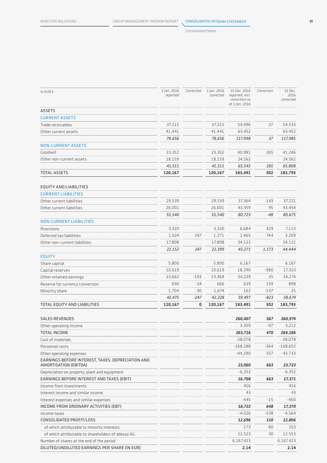# Consolidated Notes

| in EUR k                                                                   | 1 Jan. 2016<br>reported | Correction | 1 Jan. 2016<br>corrected | 31 Dec. 2016<br>reported, incl.<br>correction as<br>at 1 Jan. 2016 | Correction | 31 Dec.<br>2016<br>corrected |
|----------------------------------------------------------------------------|-------------------------|------------|--------------------------|--------------------------------------------------------------------|------------|------------------------------|
| <b>ASSETS</b>                                                              |                         |            |                          |                                                                    |            |                              |
| <b>CURRENT ASSETS</b>                                                      |                         |            |                          |                                                                    |            |                              |
| Trade receivables                                                          | 37,215                  |            | 37,215                   | 54,496                                                             | 37         | 54,533                       |
| Other current assets                                                       | 41,441                  |            | 41,441                   | 63,452                                                             |            | 63,452                       |
|                                                                            | 78,656                  |            | 78,656                   | 117,948                                                            | 37         | 117,985                      |
| <b>NON-CURRENT ASSETS</b>                                                  |                         |            |                          |                                                                    |            |                              |
| Goodwill                                                                   | 23,352                  |            | 23,352                   | 40,981                                                             | 265        | 41,246                       |
| Other non-current assets                                                   | 18,159                  |            | 18,159                   | 24,562                                                             |            | 24,562                       |
|                                                                            | 41,511                  |            | 41,511                   | 65,543                                                             | 265        | 65,808                       |
| <b>TOTAL ASSETS</b>                                                        | 120,167                 |            | 120,167                  | 183,491                                                            | 302        | 183,793                      |
| EQUITY AND LIABILITIES                                                     |                         |            |                          |                                                                    |            |                              |
| <b>CURRENT LIABILITIES</b>                                                 |                         |            |                          |                                                                    |            |                              |
| Other current liabilities                                                  | 29,539                  |            | 29,539                   | 37,364                                                             | $-143$     | 37,221                       |
| Other current liabilities                                                  | 26,001                  |            | 26,001                   | 43,359                                                             | 95         | 43,454                       |
|                                                                            | 55,540                  |            | 55,540                   | 80,723                                                             | -48        | 80,675                       |
| <b>NON-CURRENT LIABILITIES</b>                                             |                         |            |                          |                                                                    |            |                              |
| Provisions                                                                 | 3,320                   |            | 3,320                    | 6,684                                                              | 429        | 7,113                        |
| Deferred tax liabilities                                                   | 1,024                   | 247        | 1,271                    | 2,465                                                              | 744        | 3,209                        |
| Other non-current liabilities                                              | 17,808                  |            | 17,808                   | 34,122                                                             |            | 34,122                       |
|                                                                            | 22,152                  | 247        | 22,399                   | 43,271                                                             | 1,173      | 44,444                       |
| <b>EQUITY</b>                                                              |                         |            |                          |                                                                    |            |                              |
| Share capital                                                              | 5,800                   |            | 5,800                    | 6,167                                                              |            | 6,167                        |
| Capital reserves                                                           | 10,619                  |            | 10,619                   | 18,290                                                             | $-980$     | 17,310                       |
| Other retained earnings                                                    | 23,662                  | $-193$     | 23,469                   | 34,239                                                             | 35         | 34,274                       |
| Reserve for currency conversion                                            | 690                     | $-24$      | 666                      | 639                                                                | 259        | 898                          |
| Minority share                                                             | 1,704                   | -30        | 1,674                    | 162                                                                | -137       | 25                           |
|                                                                            | 42,475                  | -247       | 42,228                   | 59,497                                                             | -823       | 58,674                       |
| TOTAL EQUITY AND LIABILITIES                                               | 120,167                 | 0          | 120,167                  | 183,491                                                            | 302        | 183,793                      |
| <b>SALES REVENUES</b>                                                      |                         |            |                          | 260,407                                                            | 567        | 260,974                      |
| Other operating income                                                     |                         |            |                          | 3,309                                                              | $-97$      | 3,212                        |
| TOTAL INCOME                                                               |                         |            |                          | 263,716                                                            | 470        | 264,186                      |
| Cost of materials                                                          |                         |            |                          | $-28,078$                                                          |            | $-28,078$                    |
| Personnel costs                                                            |                         |            |                          | $-168,288$                                                         | $-364$     | $-168,652$                   |
| Other operating expenses                                                   |                         |            |                          | $-44,290$                                                          | 557        | -43,733                      |
| EARNINGS BEFORE INTEREST, TAXES, DEPRECIATION AND<br>AMORTISATION (EBITDA) |                         |            |                          | 23,060                                                             | 663        | 23,723                       |
| Depreciation on property, plant and equipment                              |                         |            |                          | $-6,352$                                                           |            | $-6,352$                     |
| EARNINGS BEFORE INTEREST AND TAXES (EBIT)                                  |                         |            |                          | 16,708                                                             | 663        | 17,371                       |
| Income from investments                                                    |                         |            |                          | 416                                                                |            | 416                          |
| Interest income and similar income                                         |                         |            |                          | 43                                                                 |            | 43                           |
| Interest expenses and similar expenses                                     |                         |            |                          | $-445$                                                             | $-15$      | -460                         |
| INCOME FROM ORDINARY ACTIVITIES (EBT)                                      |                         |            |                          | 16,722                                                             | 648        | 17,370                       |
| Income taxes                                                               |                         |            |                          | $-4,026$                                                           | $-538$     | $-4,564$                     |
| CONSOLIDATED PROFIT/LOSS                                                   |                         |            |                          | 12,696                                                             | 110        | 12,806                       |
| of which attributable to minority interests                                |                         |            |                          | 173                                                                | 80         | 253                          |
| of which attributable to shareholders of adesso AG                         |                         |            |                          | 12,523                                                             | 30         | 12,553                       |
| Number of shares at the end of the period                                  |                         |            |                          | 6,167,423                                                          |            | 6,167,423                    |
| DILUTED/UNDILUTED EARNINGS PER SHARE (IN EUR)                              |                         |            |                          | 2.14                                                               |            | 2.14                         |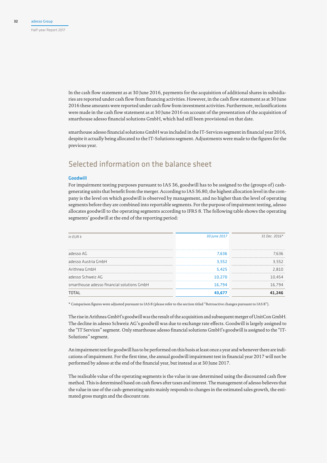In the cash flow statement as at 30 June 2016, payments for the acquisition of additional shares in subsidiaries are reported under cash flow from financing activities. However, in the cash flow statement as at 30 June 2016 these amounts were reported under cash flow from investment activities. Furthermore, reclassifications were made in the cash flow statement as at 30 June 2016 on account of the presentation of the acquisition of smarthouse adesso financial solutions GmbH, which had still been provisional on that date.

smarthouse adesso financial solutions GmbH was included in the IT-Services segment in financial year 2016, despite it actually being allocated to the IT-Solutions segment. Adjustments were made to the figures for the previous year.

# Selected information on the balance sheet

# **Goodwill**

For impairment testing purposes pursuant to IAS 36, goodwill has to be assigned to the (groups of) cashgenerating units that benefit from the merger. According to IAS 36.80, the highest allocation level in the company is the level on which goodwill is observed by management, and no higher than the level of operating segments before they are combined into reportable segments. For the purpose of impairment testing, adesso allocates goodwill to the operating segments according to IFRS 8. The following table shows the operating segments' goodwill at the end of the reporting period:

| $in$ EUR $k$                               | 30 June 2017 | 31 Dec. 2016* |
|--------------------------------------------|--------------|---------------|
| adesso AG                                  | 7,636        | 7.636         |
| adesso Austria GmbH                        | 3,552        | 3,552         |
| Arithnea GmbH                              | 5,425<br>    | 2.810         |
| adesso Schweiz AG                          | 10.270       | 10.454        |
| smarthouse adesso financial solutions GmbH | 16.794       | 16,794        |
| <b>TOTAL</b>                               | 43.677       | 41,246        |

\* Comparison figures were adjusted pursuant to IAS 8 (please refer to the section titled "Retroactive changes pursuant to IAS 8").

The rise in Arithnea GmbH's goodwill was the result of the acquisition and subsequent merger of UnitCon GmbH. The decline in adesso Schweiz AG's goodwill was due to exchange rate effects. Goodwill is largely assigned to the "IT Services" segment. Only smarthouse adesso financial solutions GmbH's goodwill is assigned to the "IT-Solutions" segment.

An impairment test for goodwill has to be performed on this basis at least once a year and whenever there are indications of impairment. For the first time, the annual goodwill impairment test in financial year 2017 will not be performed by adesso at the end of the financial year, but instead as at 30 June 2017.

The realisable value of the operating segments is the value in use determined using the discounted cash flow method. This is determined based on cash flows after taxes and interest. The management of adesso believes that the value in use of the cash-generating units mainly responds to changes in the estimated sales growth, the estimated gross margin and the discount rate.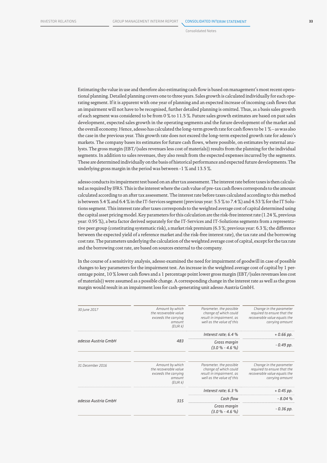### Consolidated Notes

Estimating the value in use and therefore also estimating cash flow is based on management's most recent operational planning. Detailed planning covers one to three years. Sales growth is calculated individually for each operating segment. If it is apparent with one year of planning and an expected increase of incoming cash flows that an impairment will not have to be recognised, further detailed planning is omitted. Thus, as a basis sales growth of each segment was considered to be from 0 % to 11.5 %. Future sales growth estimates are based on past sales development, expected sales growth in the operating segments and the future development of the market and the overall economy. Hence, adesso has calculated the long-term growth rate for cash flows to be 1 % – as was also the case in the previous year. This growth rate does not exceed the long-term expected growth rate for adesso's markets. The company bases its estimates for future cash flows, where possible, on estimates by external analysts. The gross margin (EBT/(sales revenues less cost of materials)) results from the planning for the individual segments. In addition to sales revenues, they also result from the expected expenses incurred by the segments. These are determined individually on the basis of historical performance and expected future developments. The underlying gross margin in the period was between -1 % and 13.5 %.

adesso conducts its impairment test based on an after tax assessment. The interest rate before taxes is then calculated as required by IFRS. This is the interest where the cash value of pre-tax cash flows corresponds to the amount calculated according to an after tax assessment. The interest rate before taxes calculated according to this method is between 5.4 % and 6.4 % in the IT-Services segment (previous year: 5.5 % to 7.4 %) and 4.53 % for the IT Solutions segment. This interest rate after taxes corresponds to the weighted average cost of capital determined using the capital asset pricing model. Key parameters for this calculation are the risk-free interest rate (1.24 %, previous year: 0.95 %), a beta factor derived separately for the IT-Services and IT-Solutions segments from a representative peer group (constituting systematic risk), a market risk premium (6.3 %; previous year: 6.3 %; the difference between the expected yield of a reference market and the risk-free interest rate), the tax rate and the borrowing cost rate. The parameters underlying the calculation of the weighted average cost of capital, except for the tax rate and the borrowing cost rate, are based on sources external to the company.

In the course of a sensitivity analysis, adesso examined the need for impairment of goodwill in case of possible changes to key parameters for the impairment test. An increase in the weighted average cost of capital by 1 percentage point, 10 % lower cash flows and a 1 percentage point lower gross margin (EBT/(sales revenues less cost of materials)) were assumed as a possible change. A corresponding change in the interest rate as well as the gross margin would result in an impairment loss for cash-generating unit adesso Austria GmbH.

| 30 June 2017        | Amount by which<br>the recoverable value<br>exceeds the carrying<br>amount<br>(EURk) | Parameter, the possible<br>change of which could<br>result in impairment, as<br>well as the value of this | Change in the parameter<br>required to ensure that the<br>recoverable value equals the<br>carrying amount |
|---------------------|--------------------------------------------------------------------------------------|-----------------------------------------------------------------------------------------------------------|-----------------------------------------------------------------------------------------------------------|
|                     |                                                                                      | Interest rate; $6.4%$                                                                                     | $+0.66$ pp.                                                                                               |
| adesso Austria GmbH | 483                                                                                  | Gross margin<br>$(3.0\% - 4.6\%)$                                                                         | - 0.49 рр.                                                                                                |
| 31 December 2016    | Amount by which<br>the recoverable value<br>exceeds the carrying<br>amount<br>(EURk) | Parameter, the possible<br>change of which could<br>result in impairment, as<br>well as the value of this | Change in the parameter<br>required to ensure that the<br>recoverable value equals the<br>carrying amount |
|                     |                                                                                      | Interest rate; 6.3 %                                                                                      | $+0.45$ pp.                                                                                               |
| adesso Austria GmbH | 315                                                                                  | Cash flow                                                                                                 | $-8.04%$                                                                                                  |
|                     |                                                                                      | Gross margin<br>$(3.0\% - 4.6\%)$                                                                         | $-0.36$ pp.                                                                                               |
|                     |                                                                                      |                                                                                                           |                                                                                                           |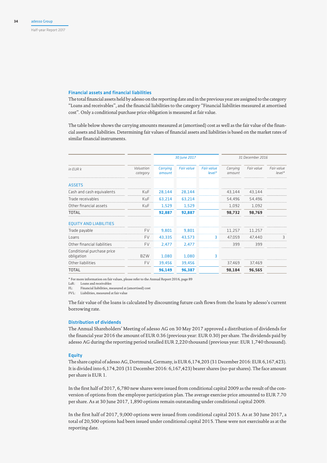## Financial assets and financial liabilities

The total financial assets held by adesso on the reporting date and in the previous year are assigned to the category "Loans and receivables", and the financial liabilities to the category "Financial liabilities measured at amortised cost". Only a conditional purchase price obligation is measured at fair value.

The table below shows the carrying amounts measured at (amortised) cost as well as the fair value of the financial assets and liabilities. Determining fair values of financial assets and liabilities is based on the market rates of similar financial instruments.

|                                          |                       |                           | 30 June 2017      |                               | 31 December 2016   |            |                        |
|------------------------------------------|-----------------------|---------------------------|-------------------|-------------------------------|--------------------|------------|------------------------|
| $in$ FUR $k$                             | Valuation<br>category | <b>Carrying</b><br>amount | <b>Fair value</b> | <b>Fair value</b><br>$level*$ | Carrying<br>amount | Fair value | Fair value<br>$level*$ |
| <b>ASSETS</b>                            |                       |                           |                   |                               |                    |            |                        |
| Cash and cash equivalents                | <b>KuF</b>            | 28,144                    | 28,144            |                               | 43,144             | 43,144     |                        |
| Trade receivables                        | KuF                   | 63,214                    | 63,214            |                               | 54,496             | 54,496     |                        |
| Other financial assets                   | <b>KuF</b>            | 1,529                     | 1,529             |                               | 1,092              | 1,092      |                        |
| TOTAL                                    |                       | 92,887                    | 92,887            |                               | 98,732             | 98,769     |                        |
| <b>EQUITY AND LIABILITIES</b>            |                       |                           |                   |                               |                    |            |                        |
| Trade payable                            | <b>FV</b>             | 9,801                     | 9,801             |                               | 11,257             | 11,257     |                        |
| Loans                                    | <b>FV</b>             | 43,335                    | 43,573            | 3                             | 47,059             | 47,440     | 3                      |
| Other financial liabilities              | <b>FV</b>             | 2.477                     | 2.477             |                               | 399                | 399        |                        |
| Conditional purchase price<br>obligation | <b>BZW</b>            | 1,080                     | 1,080             | З                             |                    |            |                        |
| Other liabilities                        | <b>FV</b>             | 39,456                    | 39,456            |                               | 37,469             | 37,469     |                        |
| TOTAL                                    |                       | 96,149                    | 96,387            |                               | 98,184             | 96,565     |                        |

\* For more information on fair values, please refer to the Annual Report 2016, page 89

LaR: Loans and receivables

FL: Financial liabilities, measured at (amortised) cost

FVL: Liabilities, measured at fair value

The fair value of the loans is calculated by discounting future cash flows from the loans by adesso's current borrowing rate.

## Distribution of dividends

The Annual Shareholders' Meeting of adesso AG on 30 May 2017 approved a distribution of dividends for the financial year 2016 the amount of EUR 0.36 (previous year: EUR 0.30) per share. The dividends paid by adesso AG during the reporting period totalled EUR 2,220 thousand (previous year: EUR 1,740 thousand).

## **Equity**

The share capital of adesso AG, Dortmund, Germany, is EUR 6,174,203 (31 December 2016: EUR 6,167,423). It is divided into 6,174,203 (31 December 2016: 6,167,423) bearer shares (no-par shares). The face amount per share is EUR 1.

In the first half of 2017, 6,780 new shares were issued from conditional capital 2009 as the result of the conversion of options from the employee participation plan. The average exercise price amounted to EUR 7.70 per share. As at 30 June 2017, 1,890 options remain outstanding under conditional capital 2009.

In the first half of 2017, 9,000 options were issued from conditional capital 2015. As at 30 June 2017, a total of 20,500 options had been issued under conditional capital 2015. These were not exercisable as at the reporting date.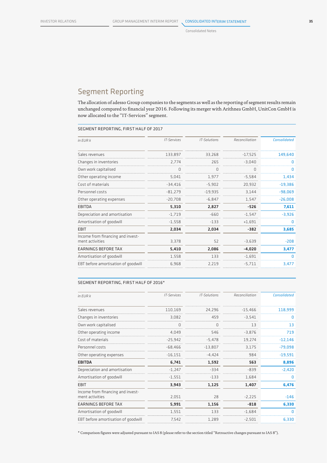# Segment Reporting

The allocation of adesso Group companies to the segments as well as the reporting of segment results remain unchanged compared to financial year 2016. Following its merger with Arithnea GmbH, UnitCon GmbH is now allocated to the "IT-Services" segment.

# Segment reporting, first half of 2017

| $in$ FUR $k$                                         | IT-Services | IT-Solutions | Reconciliation | <b>Consolidated</b> |
|------------------------------------------------------|-------------|--------------|----------------|---------------------|
| Sales revenues                                       | 133,897     | 33,268       | $-17,525$      | 149,640             |
| Changes in inventories                               | 2.774       | 265          | $-3,040$       | 0                   |
| Own work capitalised                                 | U           | U            | 0              | 0                   |
| Other operating income                               | 5,041       | 1,977        | $-5,584$       | 1,434               |
| Cost of materials                                    | $-34,416$   | $-5,902$     | 20,932         | $-19,386$           |
| Personnel costs                                      | $-81,279$   | $-19,935$    | 3,144          | $-98,069$           |
| Other operating expenses                             | $-20,708$   | $-6,847$     | 1,547          | $-26,008$           |
| EBITDA                                               | 5,310       | 2,827        | $-526$         | 7,611               |
| Depreciation and amortisation                        | $-1,719$    | $-660$       | $-1,547$       | $-3,926$            |
| Amortisation of goodwill                             | $-1,558$    | $-133$       | $+1,691$       | 0                   |
| EBIT                                                 | 2,034       | 2,034        | -382           | 3,685               |
| Income from financing and invest-<br>ment activities | 3,378       | 52           | $-3,639$       | $-208$              |
| <b>EARNINGS BEFORE TAX</b>                           | 5,410       | 2,086        | $-4,020$       | 3,477               |
| Amortisation of goodwill                             | 1,558       | 133          | $-1,691$       | 0                   |
| EBT before amortisation of goodwill                  | 6,968       | 2,219        | $-5,711$       | 3,477               |
|                                                      |             |              |                |                     |

## SEGMENT REPORTING, FIRST HALF OF 2016\*

| in EUR k                                             | <b>IT-Services</b> | IT-Solutions | Reconciliation | <b>Consolidated</b> |
|------------------------------------------------------|--------------------|--------------|----------------|---------------------|
|                                                      |                    |              |                |                     |
| Sales revenues                                       | 110,169            | 24,296       | $-15,466$      | 118,999             |
| Changes in inventories                               | 3,082              | 459          | $-3,541$       | 0                   |
| Own work capitalised                                 | O                  | O            | 13             | 13                  |
| Other operating income                               | 4,049              | 546          | $-3,876$       | 719                 |
| Cost of materials                                    | $-25,942$          | $-5,478$     | 19,274         | $-12,146$           |
| Personnel costs                                      | $-68,466$          | $-13,807$    | 3,175          | $-79,098$           |
| Other operating expenses                             | $-16,151$          | $-4,424$     | 984            | $-19,591$           |
| <b>EBITDA</b>                                        | 6,741              | 1,592        | 563            | 8,896               |
| Depreciation and amortisation                        | $-1,247$           | $-334$       | $-839$         | $-2,420$            |
| Amortisation of goodwill                             | $-1,551$           | $-133$       | 1,684          | n                   |
| <b>EBIT</b>                                          | 3,943              | 1,125        | 1,407          | 6,476               |
| Income from financing and invest-<br>ment activities | 2,051              | 28           | $-2,225$       | $-146$              |
| <b>EARNINGS BEFORE TAX</b>                           | 5,991              | 1,156        | $-818$         | 6,330               |
| Amortisation of goodwill                             | 1,551              | 133          | $-1,684$       | 0                   |
| EBT before amortisation of goodwill                  | 7.542              | 1,289        | $-2,501$       | 6,330               |

\* Comparison figures were adjusted pursuant to IAS 8 (please refer to the section titled "Retroactive changes pursuant to IAS 8").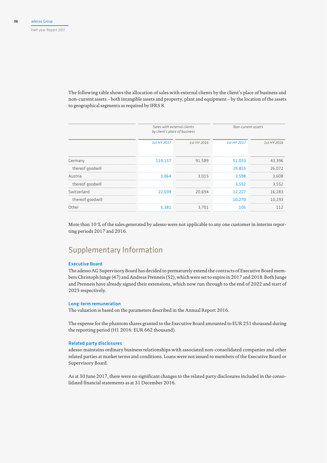The following table shows the allocation of sales with external clients by the client's place of business and non-current assets – both intangible assets and property, plant and equipment – by the location of the assets to geographical segments as required by IFRS 8.

|                  | Sales with external clients<br>by client's place of business |             | Non-current assets |             |
|------------------|--------------------------------------------------------------|-------------|--------------------|-------------|
|                  | 1st HY 2017                                                  | 1st HY 2016 | 1st HY 2017        | 1st HY 2016 |
| Germany          | 119,157                                                      | 91.589      | 51,033             | 43,396      |
| thereof goodwill |                                                              |             | 29,855             | 26.072      |
| Austria          | 3.064                                                        | 3.015       | 3.598              | 3.608       |
| thereof goodwill |                                                              |             | 3.552              | 3.552       |
| Switzerland      | 22.039                                                       | 20.694      | 12.227             | 16.283      |
| thereof goodwill |                                                              |             | 10.270             | 10.293      |
| Other            | 5.381                                                        | 3.701       | 105                | 112         |

More than 10 % of the sales generated by adesso were not applicable to any one customer in interim reporting periods 2017 and 2016.

# Supplementary Information

# Executive Board

The adesso AG Supervisory Board has decided to prematurely extend the contracts of Executive Board members Christoph Junge (47) and Andreas Prenneis (52), which were set to expire in 2017 and 2018. Both Junge and Prenneis have already signed their extensions, which now run through to the end of 2022 and start of 2023 respectively.

## Long-term remuneration

The valuation is based on the parameters described in the Annual Report 2016.

The expense for the phantom shares granted to the Executive Board amounted to EUR 251 thousand during the reporting period (H1 2016: EUR 662 thousand).

## Related party disclosures

adesso maintains ordinary business relationships with associated non-consolidated companies and other related parties at market terms and conditions. Loans were not issued to members of the Executive Board or Supervisory Board.

As at 30 June 2017, there were no significant changes to the related party disclosures included in the consolidated financial statements as at 31 December 2016.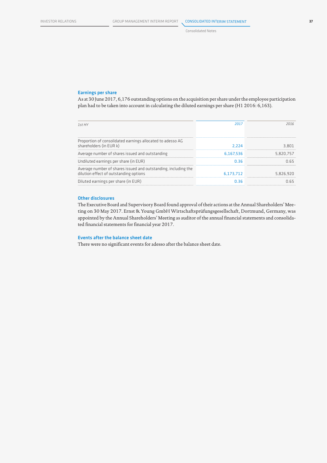## Earnings per share

As at 30 June 2017, 6,176 outstanding options on the acquisition per share under the employee participation plan had to be taken into account in calculating the diluted earnings per share (H1 2016: 6,163).

| 1st HY                                                                                                   | 2017      | 2016      |
|----------------------------------------------------------------------------------------------------------|-----------|-----------|
|                                                                                                          |           |           |
| Proportion of consolidated earnings allocated to adesso AG<br>shareholders (in EUR k)                    | 2.224     | 3.801     |
| Average number of shares issued and outstanding                                                          | 6.167.536 | 5.820.757 |
| Undiluted earnings per share (in EUR)                                                                    | 0.36      | N 65      |
| Average number of shares issued and outstanding, including the<br>dilution effect of outstanding options | 6.173.712 | 5.826.920 |
| Diluted earnings per share (in EUR)                                                                      | 0.36      | N 65      |

## Other disclosures

The Executive Board and Supervisory Board found approval of their actions at the Annual Shareholders' Meeting on 30 May 2017. Ernst & Young GmbH Wirtschaftsprüfungsgesellschaft, Dortmund, Germany, was appointed by the Annual Shareholders' Meeting as auditor of the annual financial statements and consolidated financial statements for financial year 2017.

# Events after the balance sheet date

There were no significant events for adesso after the balance sheet date.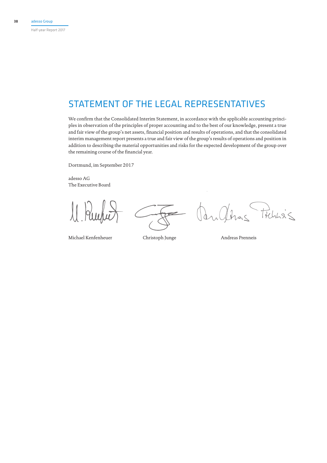Half-year Report 2017

# STATEMENT OF THE LEGAL REPRESENTATIVES

We confirm that the Consolidated Interim Statement, in accordance with the applicable accounting principles in observation of the principles of proper accounting and to the best of our knowledge, present a true and fair view of the group's net assets, financial position and results of operations, and that the consolidated interim management report presents a true and fair view of the group's results of operations and position in addition to describing the material opportunities and risks for the expected development of the group over the remaining course of the financial year.

Dortmund, im September 2017

adesso AG The Executive Board

Michael Kenfenheuer Christoph Junge Andreas Prenneis

 $\approx$ 

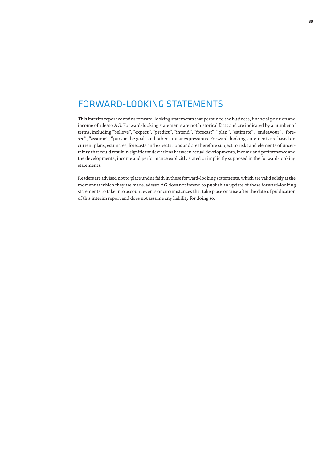# FORWARD-LOOKING STATEMENTS

This interim report contains forward-looking statements that pertain to the business, financial position and income of adesso AG. Forward-looking statements are not historical facts and are indicated by a number of terms, including "believe", "expect", "predict", "intend", "forecast", "plan", "estimate", "endeavour", "foresee", "assume", "pursue the goal" and other similar expressions. Forward-looking statements are based on current plans, estimates, forecasts and expectations and are therefore subject to risks and elements of uncertainty that could result in significant deviations between actual developments, income and performance and the developments, income and performance explicitly stated or implicitly supposed in the forward-looking statements.

Readers are advised not to place undue faith in these forward-looking statements, which are valid solely at the moment at which they are made. adesso AG does not intend to publish an update of these forward-looking statements to take into account events or circumstances that take place or arise after the date of publication of this interim report and does not assume any liability for doing so.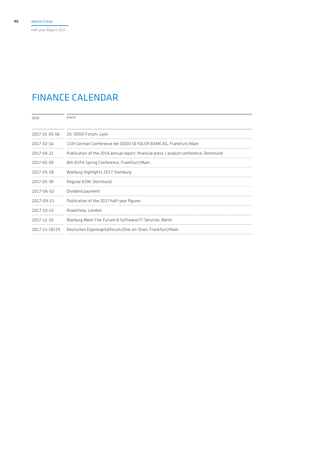Half-year Report 2017

# FINANCE CALENDAR

| Date          | Fvent                                                                                 |
|---------------|---------------------------------------------------------------------------------------|
| 2017-01-05-06 | 20. ODDO Forum, Lyon                                                                  |
| 2017-02-16    | 11th German Conference der ODDO SEYDLER BANK AG, Frankfurt/Main                       |
| 2017-04-21    | Publication of the 2016 annual report, financial press / analyst conference, Dortmund |
| 2017-05-09    | 8th DVFA Spring Conference, Frankfurt/Main                                            |
| 2017-05-18    | Warburg Highlights 2017, Hamburg                                                      |
| 2017-05-30    | Regular ASM, Dortmund                                                                 |
| 2017-06-02    | Dividend payment                                                                      |
| 2017-09-15    | Publication of the 2017 half-year figures                                             |
| 2017-10-10    | Roadshow, London                                                                      |
| 2017-11-16    | Warburg Meet-The-Future & Software/IT-Services, Berlin                                |
| 2017-11-28/29 | Deutsches Eigenkapitalforum/One-on-Ones, Frankfurt/Main                               |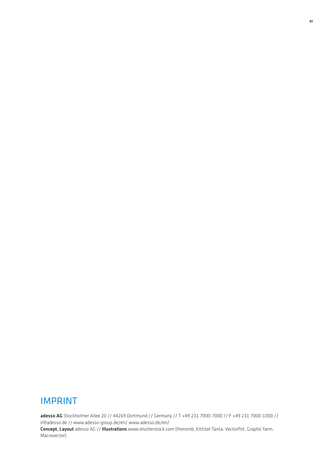# IMPRINT

adesso AG Stockholmer Allee 20 // 44269 Dortmund // Germany // T +49 231 7000-7000 // F +49 231 7000-1000 // ir@adesso.de // www.adesso-group.de/en/ www.adesso.de/en/ Concept, Layout adesso AG // Illustrations www.shutterstock.com (theromb, Kittitat Tanta, VectorPot, Graphic farm,

Macrovector).